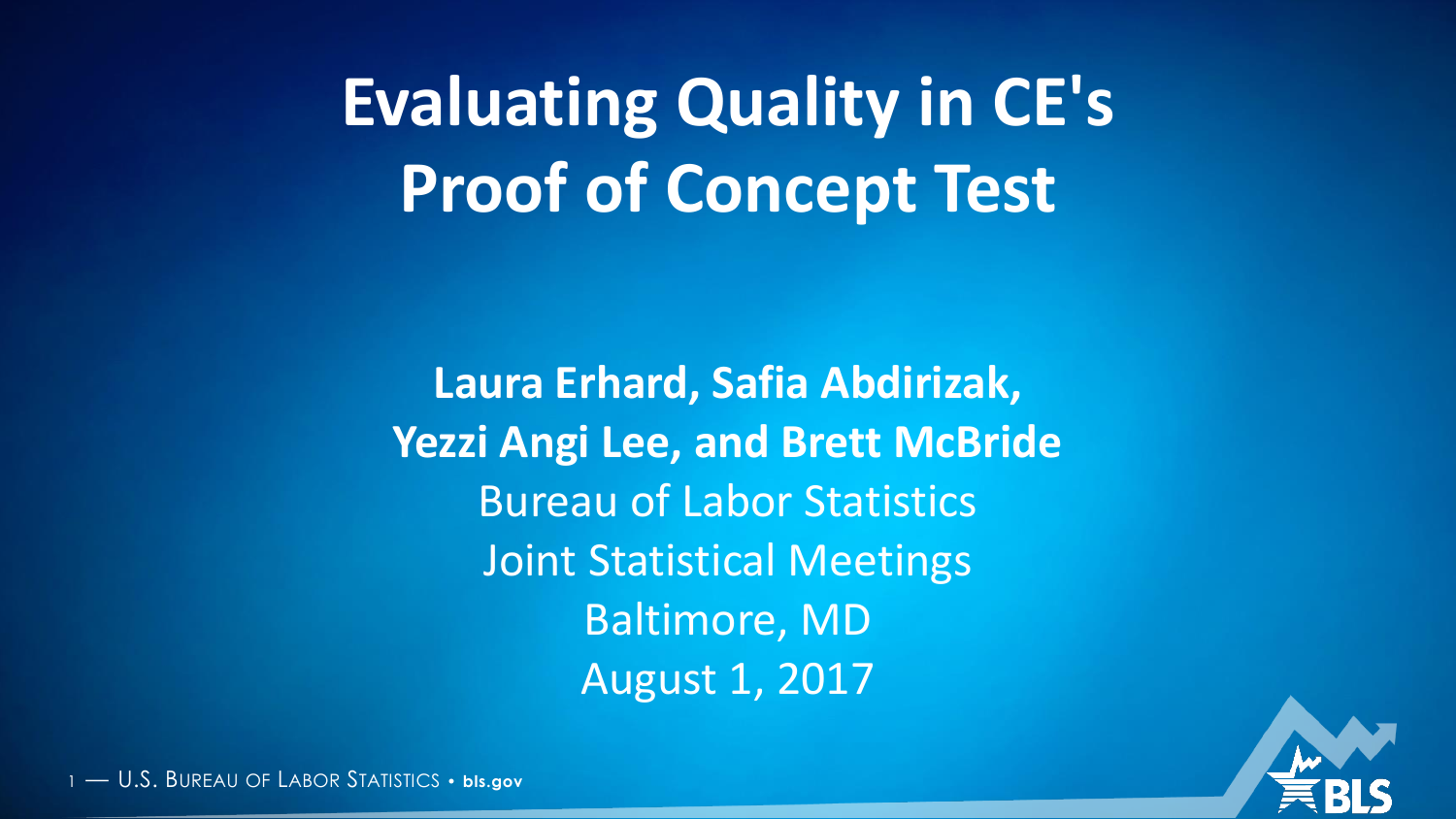**Evaluating Quality in CE's Proof of Concept Test**

**Laura Erhard, Safia Abdirizak, Yezzi Angi Lee, and Brett McBride** Bureau of Labor Statistics Joint Statistical Meetings Baltimore, MD August 1, 2017

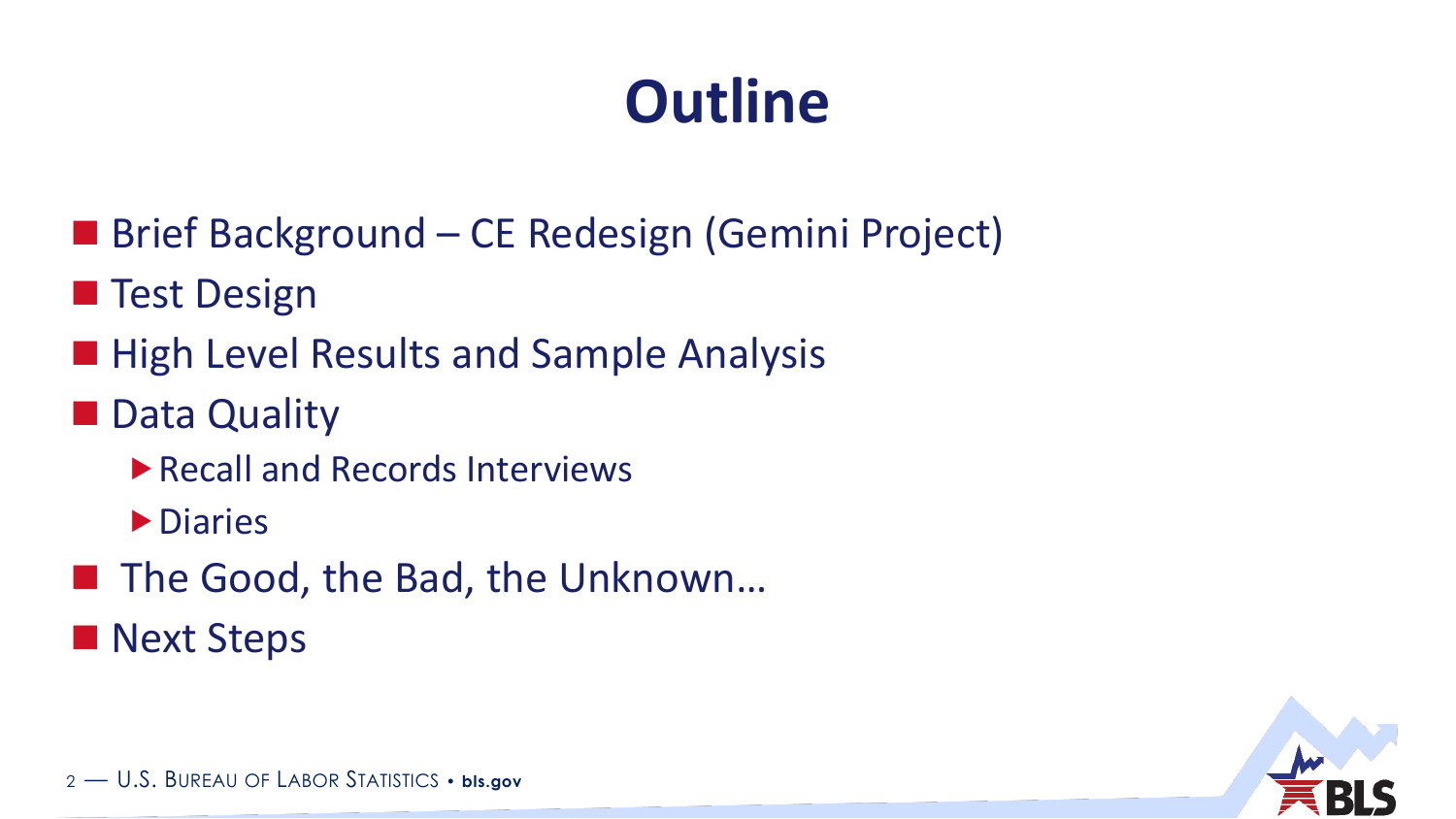# **Outline**

- Brief Background CE Redesign (Gemini Project)
- **Test Design**
- **High Level Results and Sample Analysis**
- **Data Quality** 
	- Recall and Records Interviews
	- **Diaries**
- The Good, the Bad, the Unknown...
- **Next Steps**

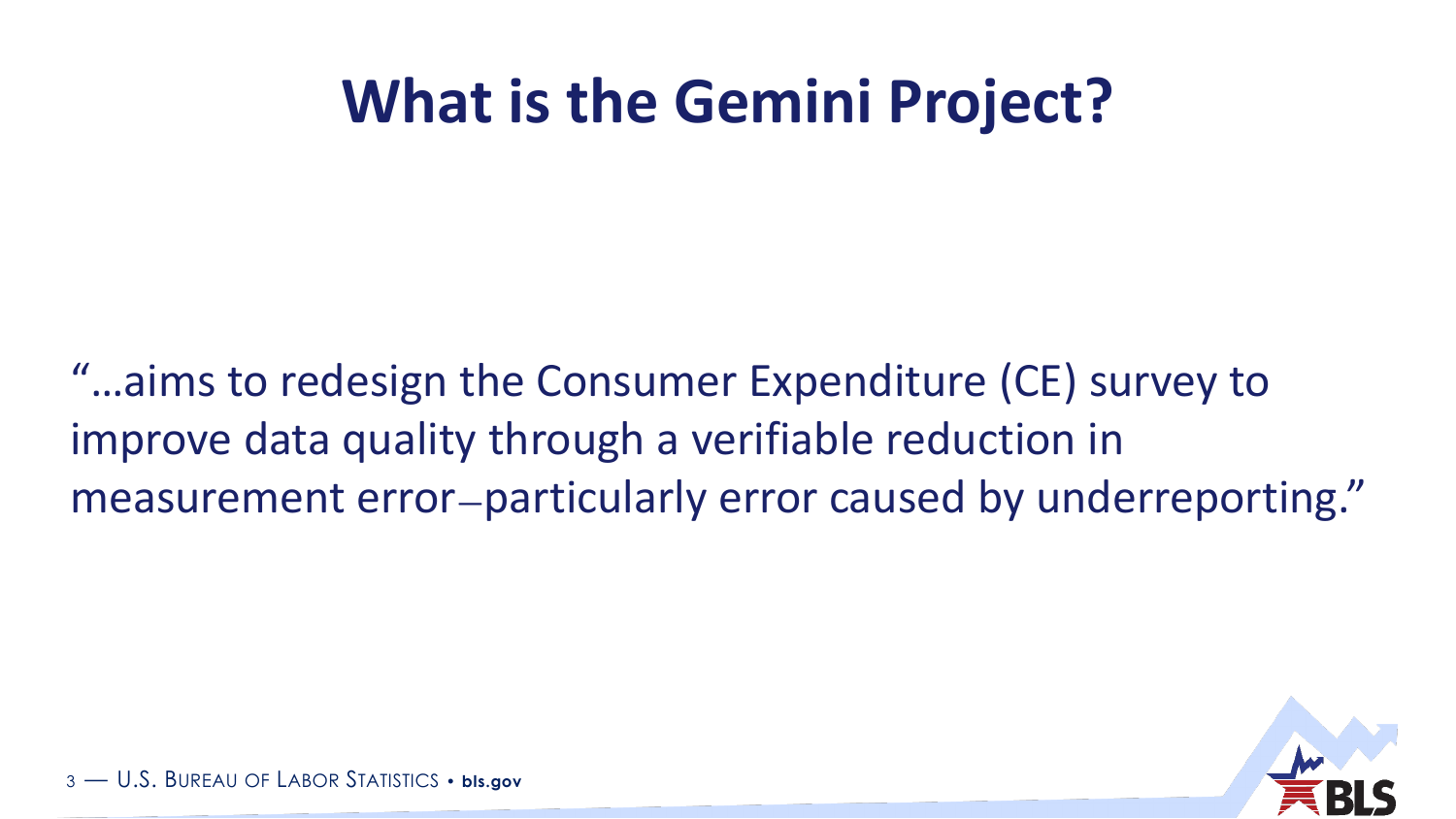### **What is the Gemini Project?**

"…aims to redesign the Consumer Expenditure (CE) survey to improve data quality through a verifiable reduction in measurement error—particularly error caused by underreporting."

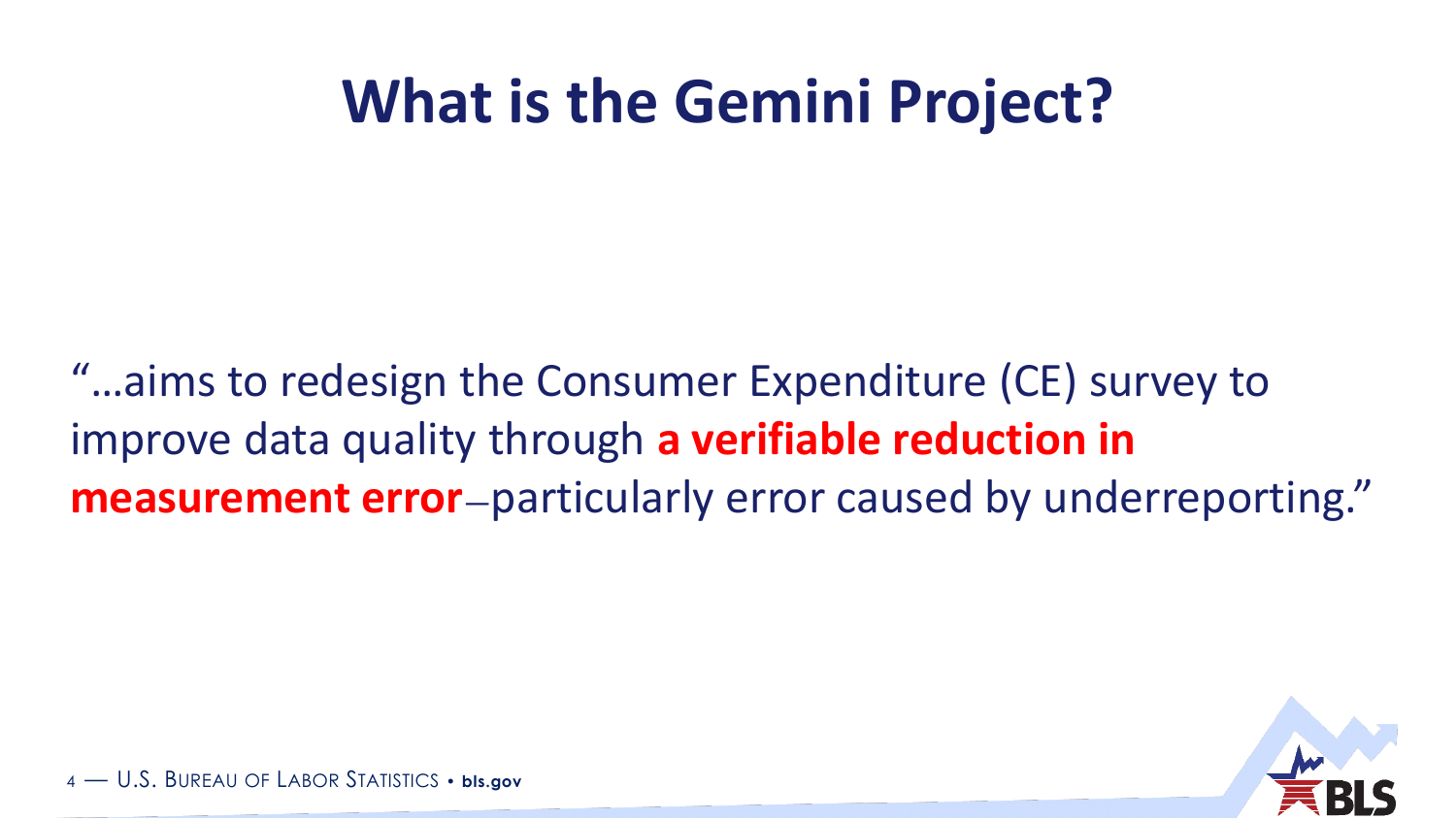### **What is the Gemini Project?**

"…aims to redesign the Consumer Expenditure (CE) survey to improve data quality through **a verifiable reduction in measurement error**—particularly error caused by underreporting."

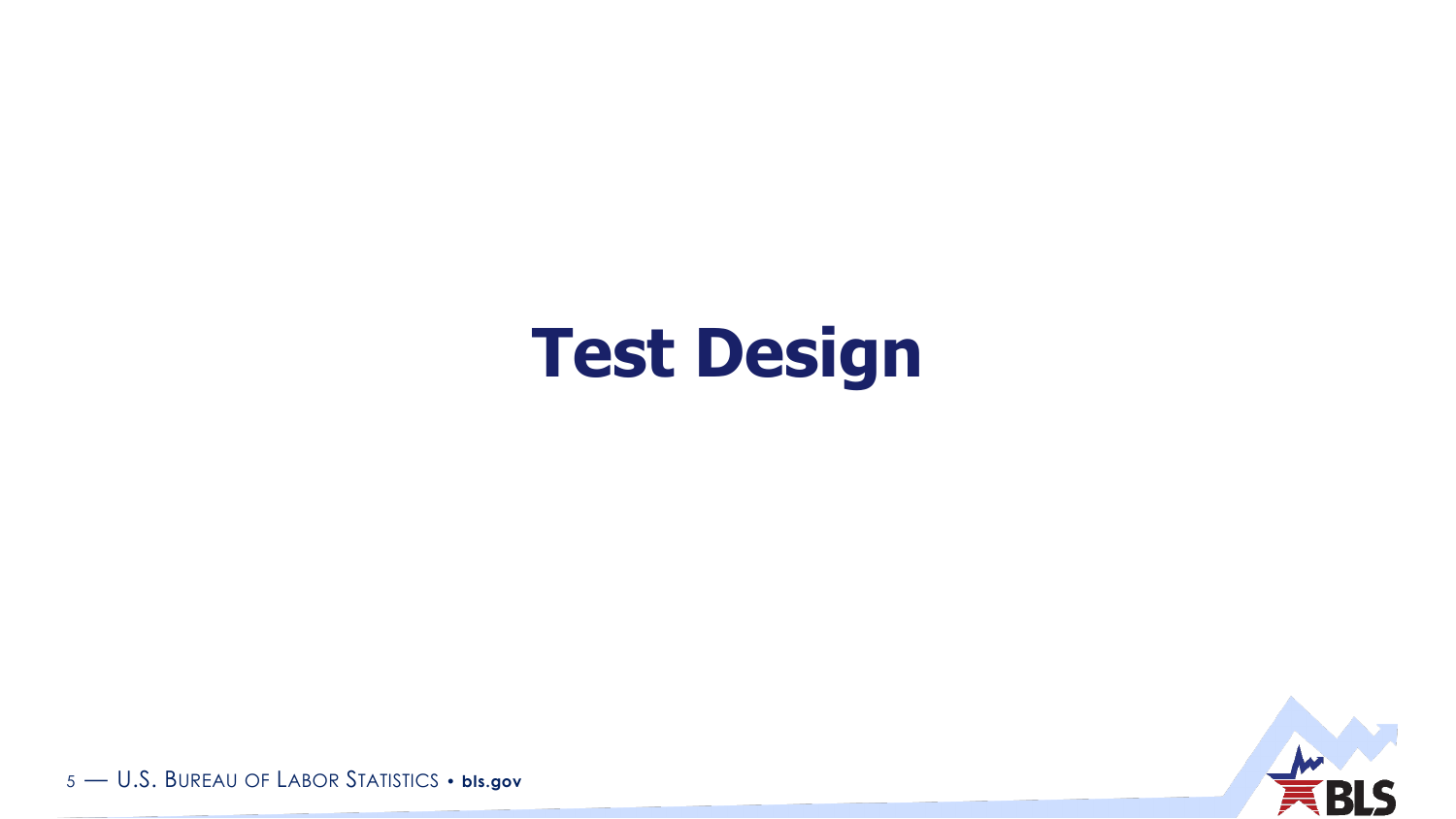## **Test Design**

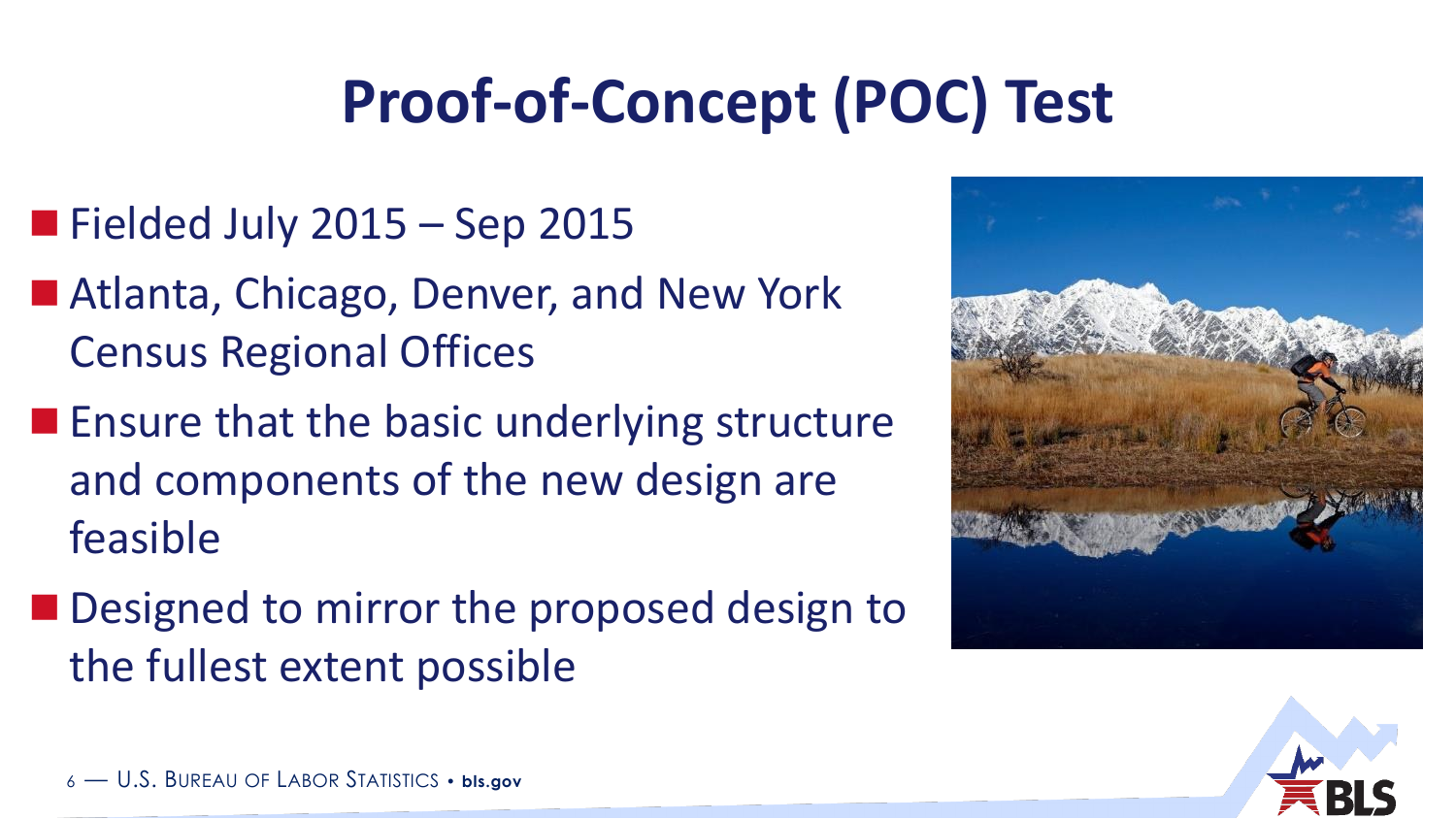# **Proof-of-Concept (POC) Test**

- $\blacksquare$  Fielded July 2015 Sep 2015
- Atlanta, Chicago, Denver, and New York Census Regional Offices
- **Ensure that the basic underlying structure** and components of the new design are feasible
- Designed to mirror the proposed design to the fullest extent possible



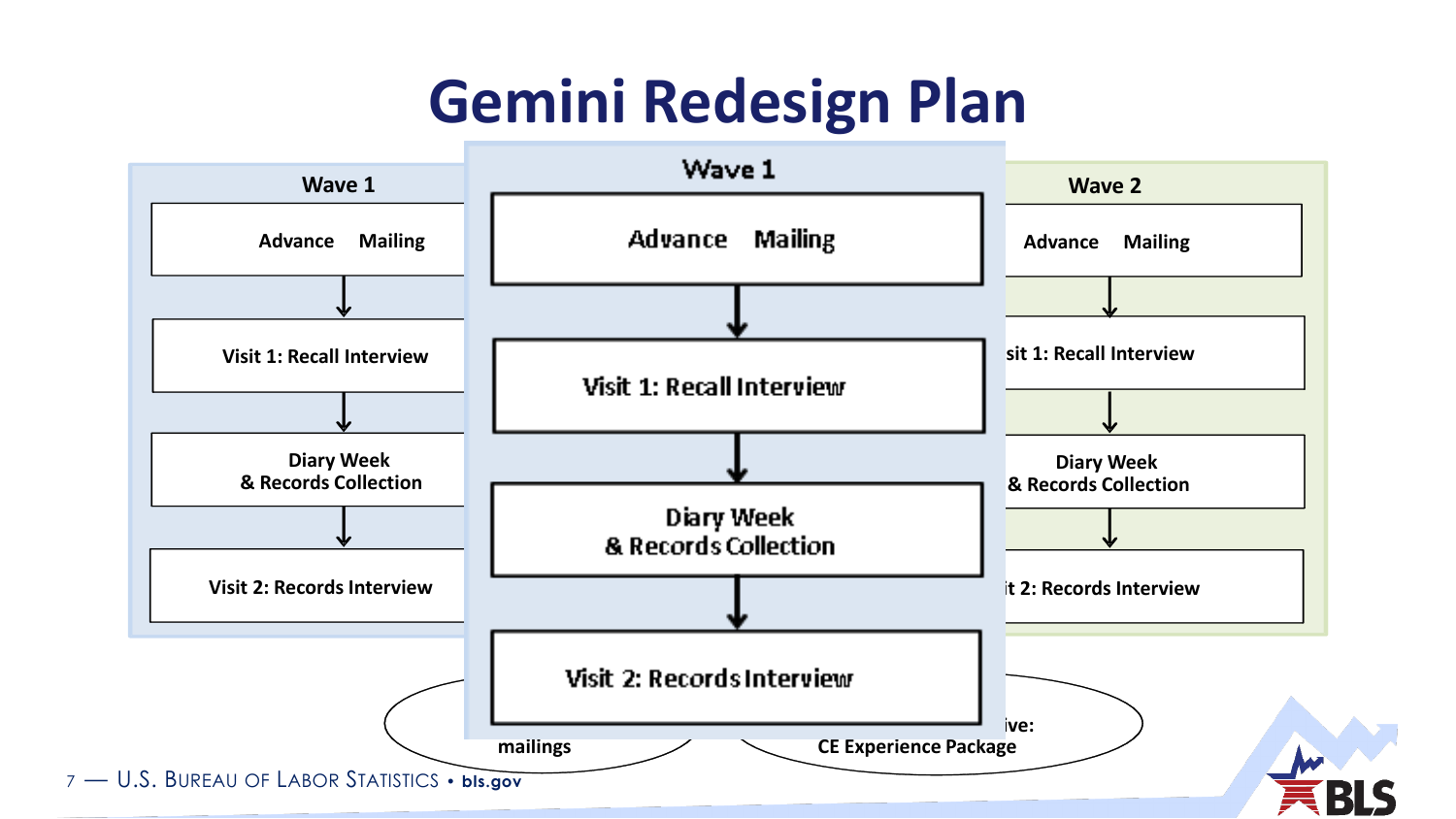### **Gemini Redesign Plan**

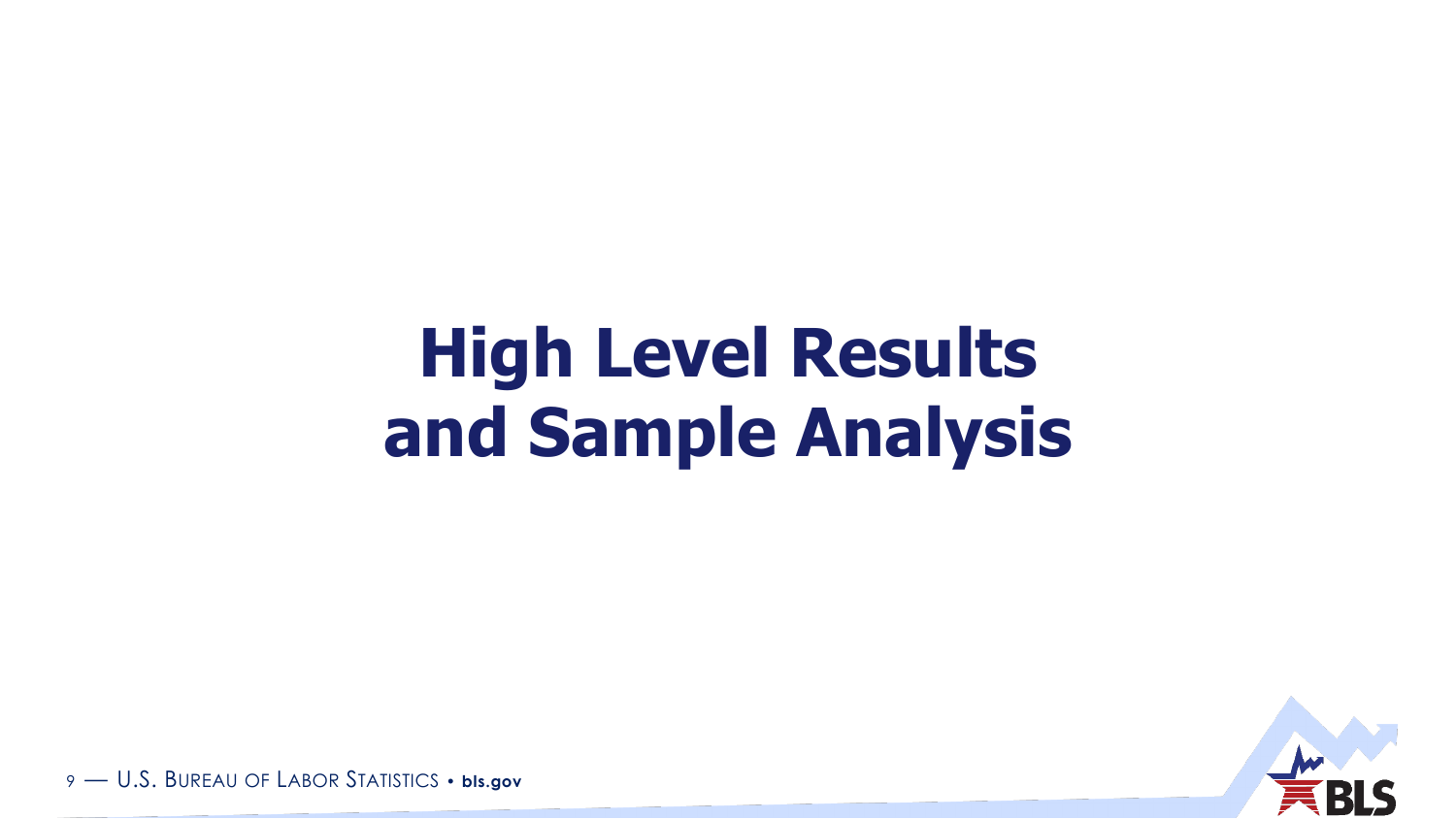# **High Level Results and Sample Analysis**

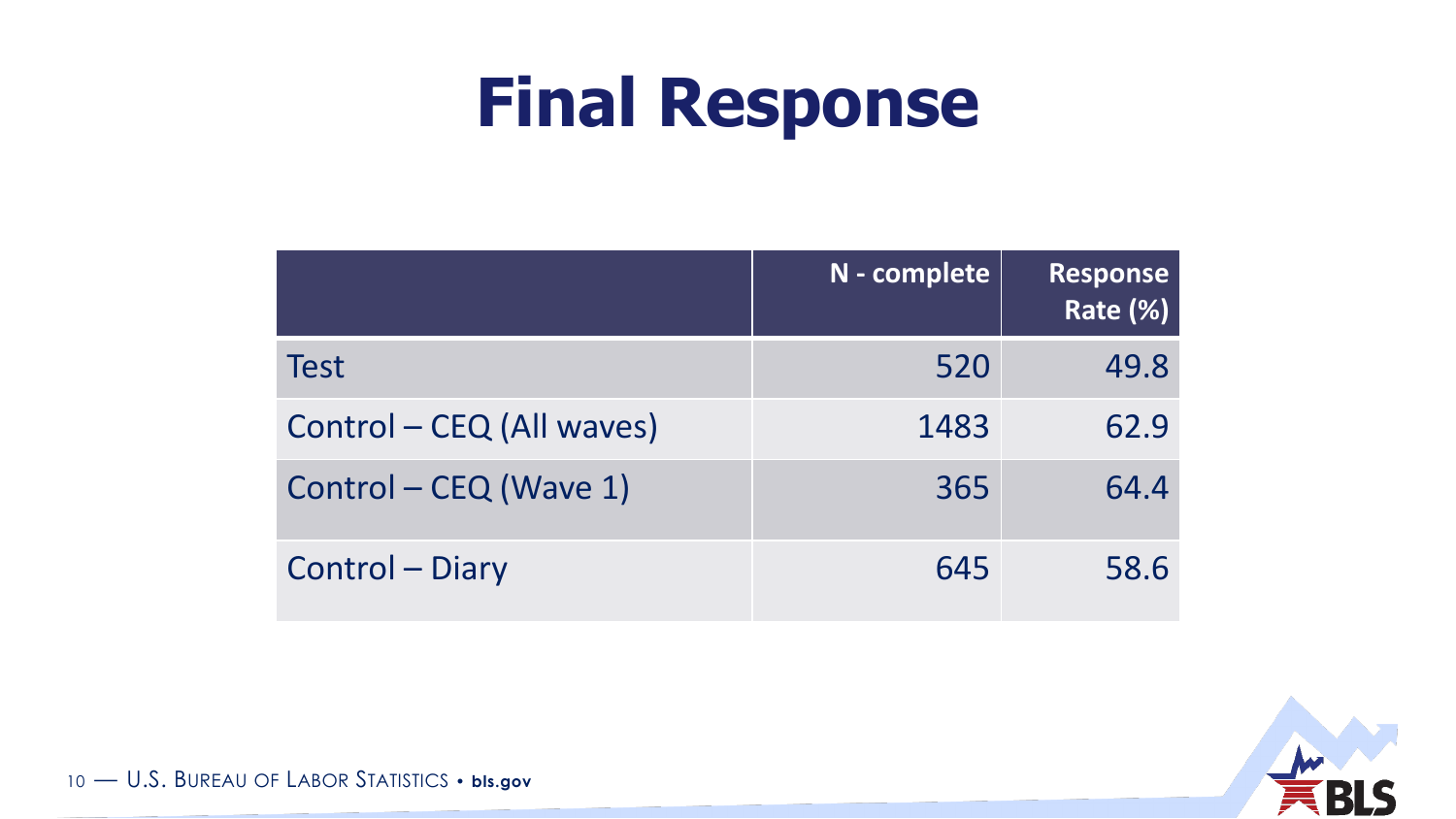# **Final Response**

|                           | N - complete | <b>Response</b><br>Rate (%) |
|---------------------------|--------------|-----------------------------|
| <b>Test</b>               | 520          | 49.8                        |
| Control – CEQ (All waves) | 1483         | 62.9                        |
| Control – CEQ (Wave 1)    | 365          | 64.4                        |
| <b>Control - Diary</b>    | 645          | 58.6                        |

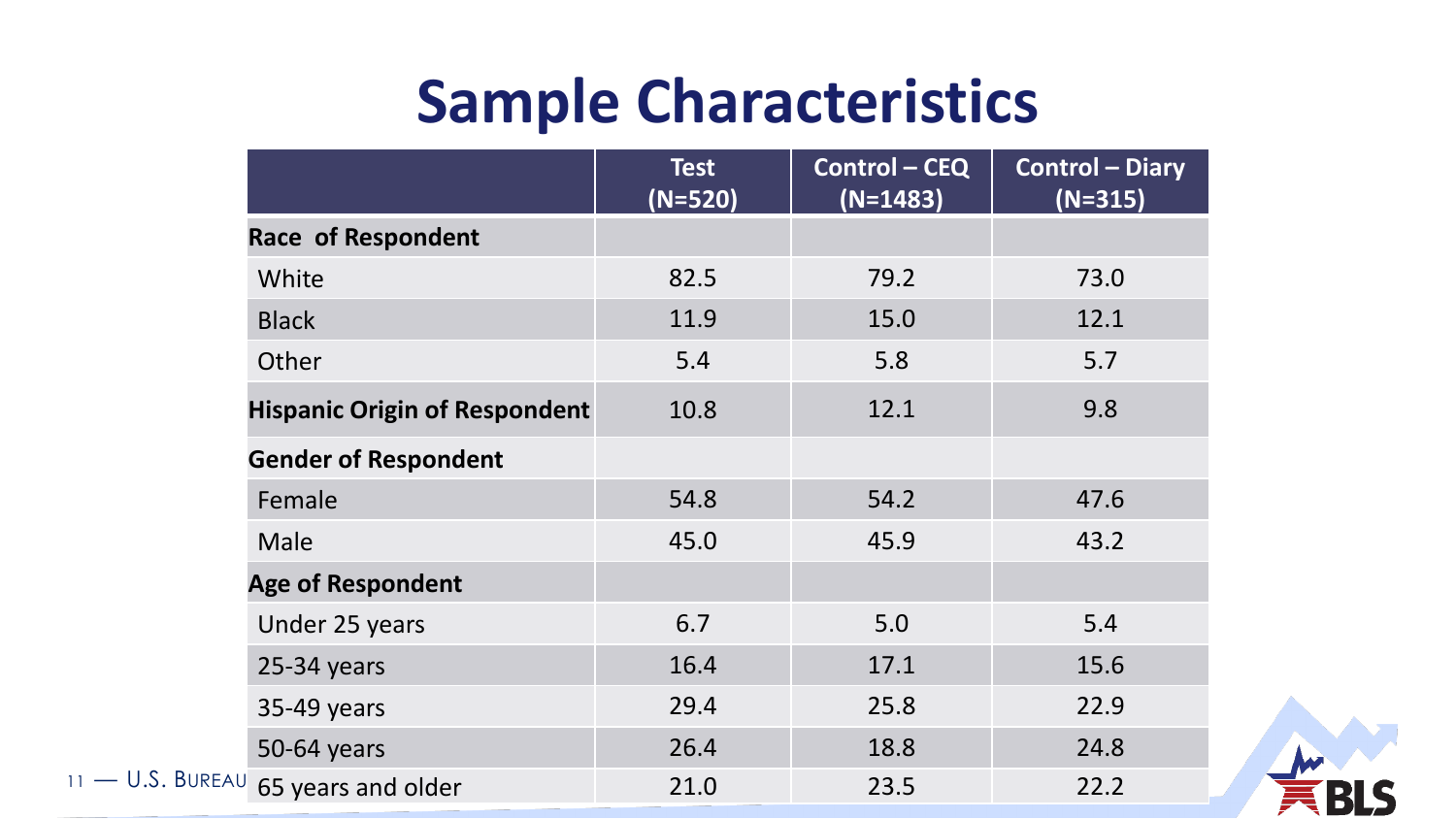|                                        | <b>Test</b> | <b>Control - CEQ</b> | <b>Control - Diary</b> |
|----------------------------------------|-------------|----------------------|------------------------|
|                                        | $(N=520)$   | $(N=1483)$           | $(N=315)$              |
| <b>Race of Respondent</b>              |             |                      |                        |
| White                                  | 82.5        | 79.2                 | 73.0                   |
| <b>Black</b>                           | 11.9        | 15.0                 | 12.1                   |
| Other                                  | 5.4         | 5.8                  | 5.7                    |
| <b>Hispanic Origin of Respondent</b>   | 10.8        | 12.1                 | 9.8                    |
| <b>Gender of Respondent</b>            |             |                      |                        |
| Female                                 | 54.8        | 54.2                 | 47.6                   |
| Male                                   | 45.0        | 45.9                 | 43.2                   |
| <b>Age of Respondent</b>               |             |                      |                        |
| Under 25 years                         | 6.7         | 5.0                  | 5.4                    |
| $25-34$ years                          | 16.4        | 17.1                 | 15.6                   |
| 35-49 years                            | 29.4        | 25.8                 | 22.9                   |
| 50-64 years                            | 26.4        | 18.8                 | 24.8                   |
| $11 - 0.5$ . BUREAU 65 years and older | 21.0        | 23.5                 | 22.2                   |

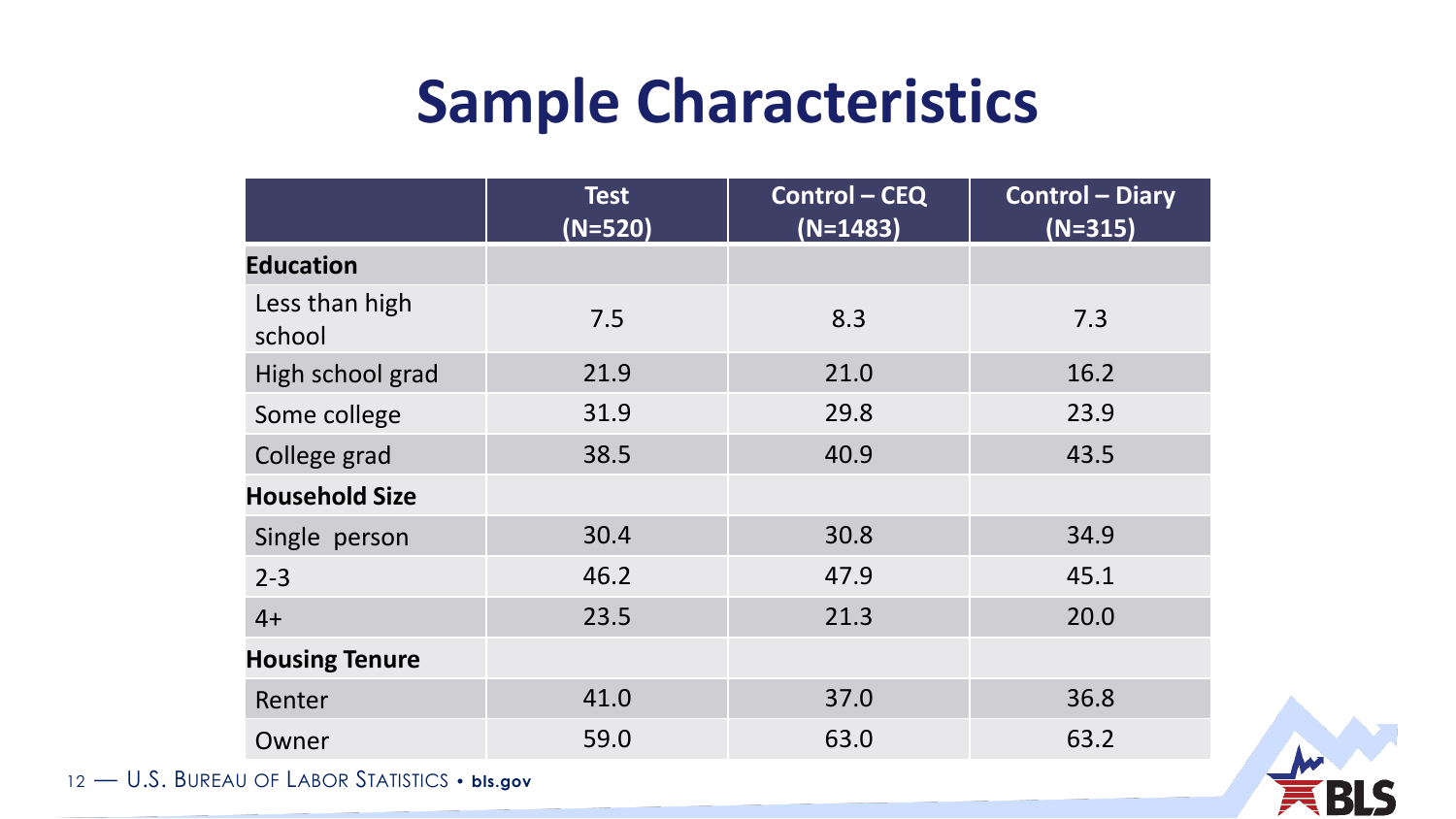|                          | <b>Test</b><br>$(N=520)$ | <b>Control-CEQ</b><br>$(N=1483)$ | <b>Control - Diary</b><br>$(N=315)$ |
|--------------------------|--------------------------|----------------------------------|-------------------------------------|
| <b>Education</b>         |                          |                                  |                                     |
| Less than high<br>school | 7.5                      | 8.3                              | 7.3                                 |
| High school grad         | 21.9                     | 21.0                             | 16.2                                |
| Some college             | 31.9                     | 29.8                             | 23.9                                |
| College grad             | 38.5                     | 40.9                             | 43.5                                |
| <b>Household Size</b>    |                          |                                  |                                     |
| Single person            | 30.4                     | 30.8                             | 34.9                                |
| $2 - 3$                  | 46.2                     | 47.9                             | 45.1                                |
| $4+$                     | 23.5                     | 21.3                             | 20.0                                |
| <b>Housing Tenure</b>    |                          |                                  |                                     |
| Renter                   | 41.0                     | 37.0                             | 36.8                                |
| Owner                    | 59.0                     | 63.0                             | 63.2                                |

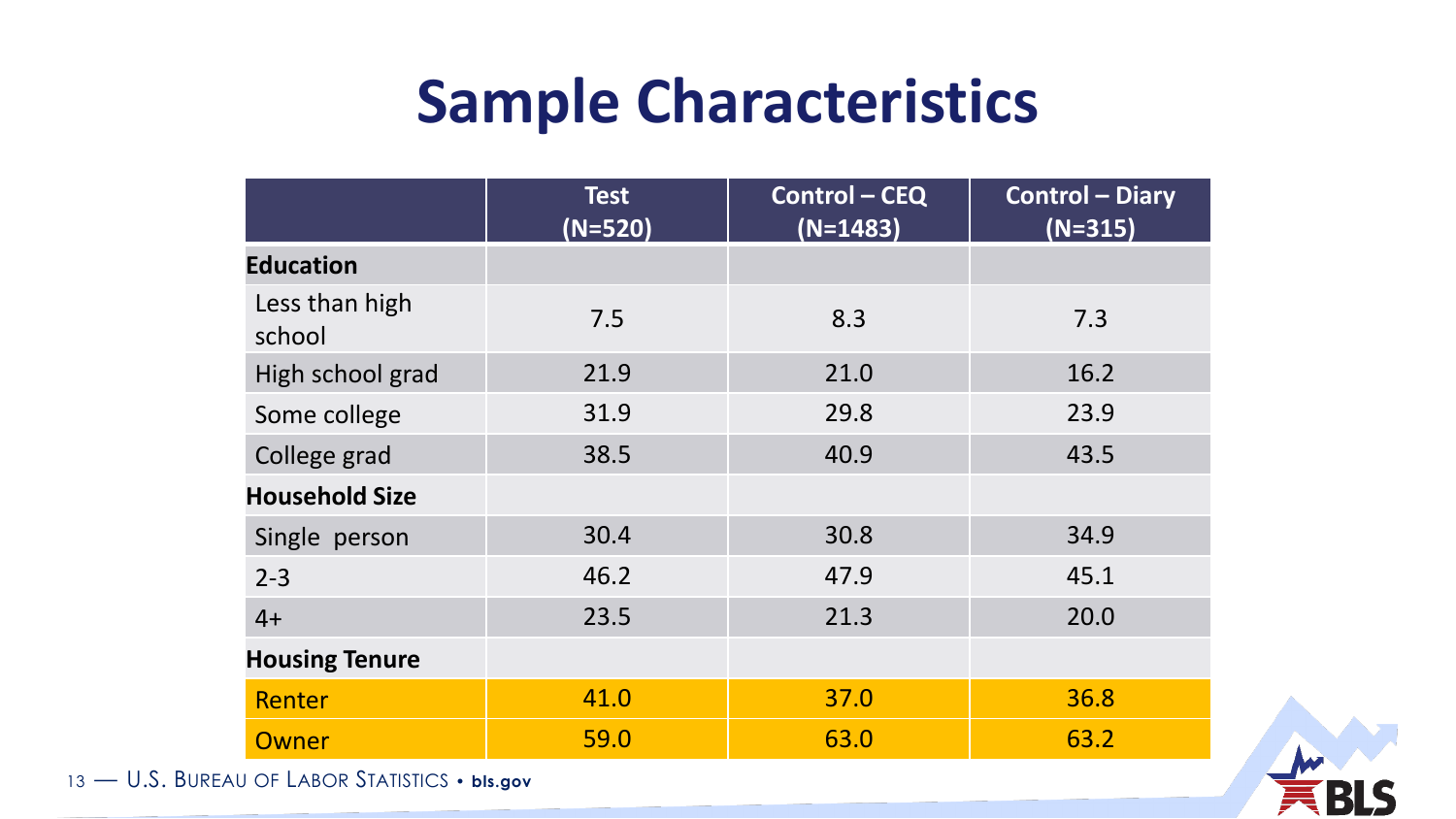|                          | <b>Test</b><br>$(N=520)$ | <b>Control - CEQ</b><br>$(N=1483)$ | <b>Control - Diary</b><br>$(N=315)$ |
|--------------------------|--------------------------|------------------------------------|-------------------------------------|
| <b>Education</b>         |                          |                                    |                                     |
| Less than high<br>school | 7.5                      | 8.3                                | 7.3                                 |
| High school grad         | 21.9                     | 21.0                               | 16.2                                |
| Some college             | 31.9                     | 29.8                               | 23.9                                |
| College grad             | 38.5                     | 40.9                               | 43.5                                |
| <b>Household Size</b>    |                          |                                    |                                     |
| Single person            | 30.4                     | 30.8                               | 34.9                                |
| $2 - 3$                  | 46.2                     | 47.9                               | 45.1                                |
| $4+$                     | 23.5                     | 21.3                               | 20.0                                |
| <b>Housing Tenure</b>    |                          |                                    |                                     |
| <b>Renter</b>            | 41.0                     | 37.0                               | 36.8                                |
| Owner                    | 59.0                     | 63.0                               | 63.2                                |

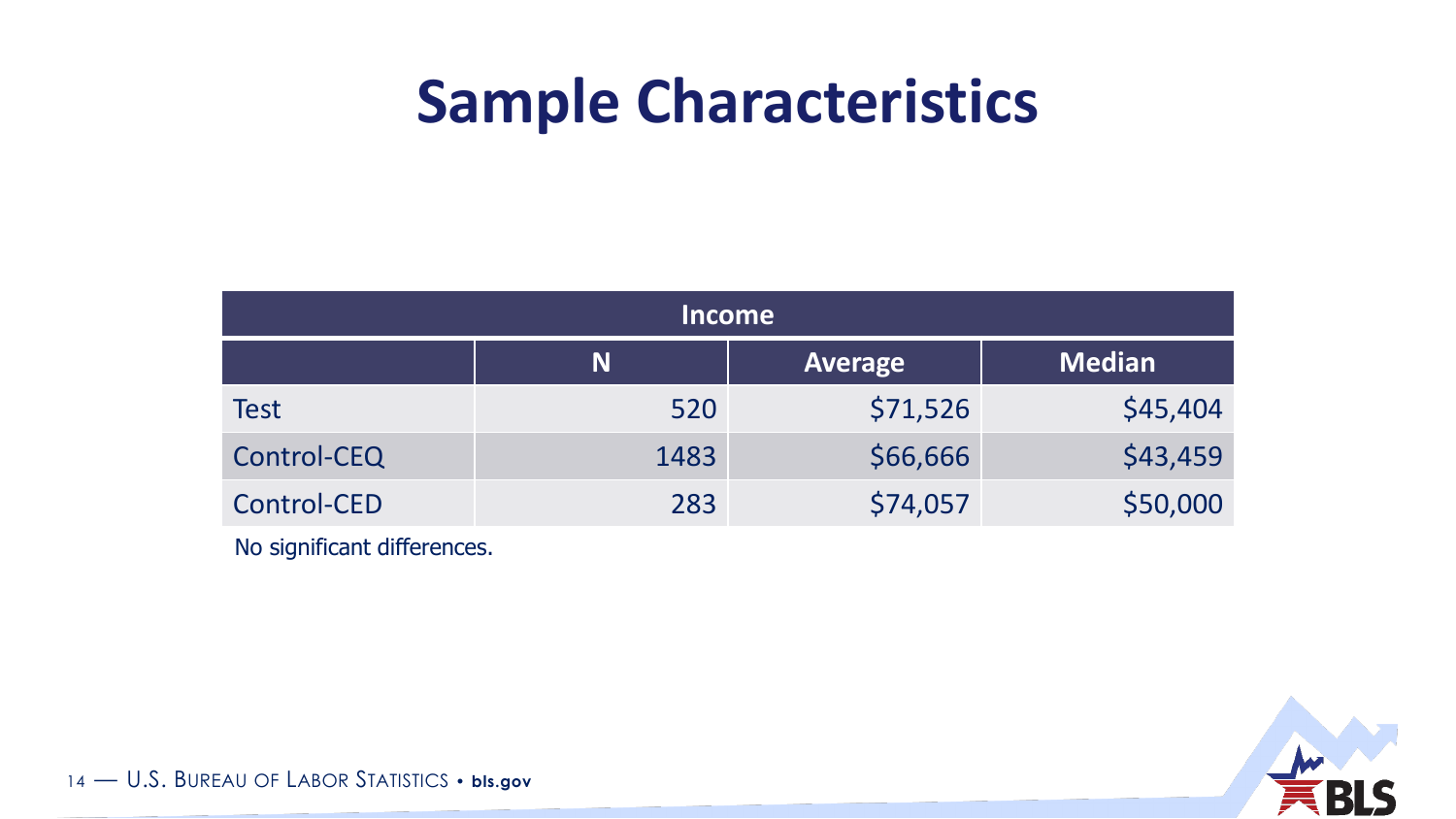| <b>Income</b> |      |                |               |
|---------------|------|----------------|---------------|
|               | N    | <b>Average</b> | <b>Median</b> |
| Test          | 520  | \$71,526       | \$45,404      |
| Control-CEQ   | 1483 | \$66,666       | \$43,459      |
| Control-CED   | 283  | \$74,057       | \$50,000      |

No significant differences.

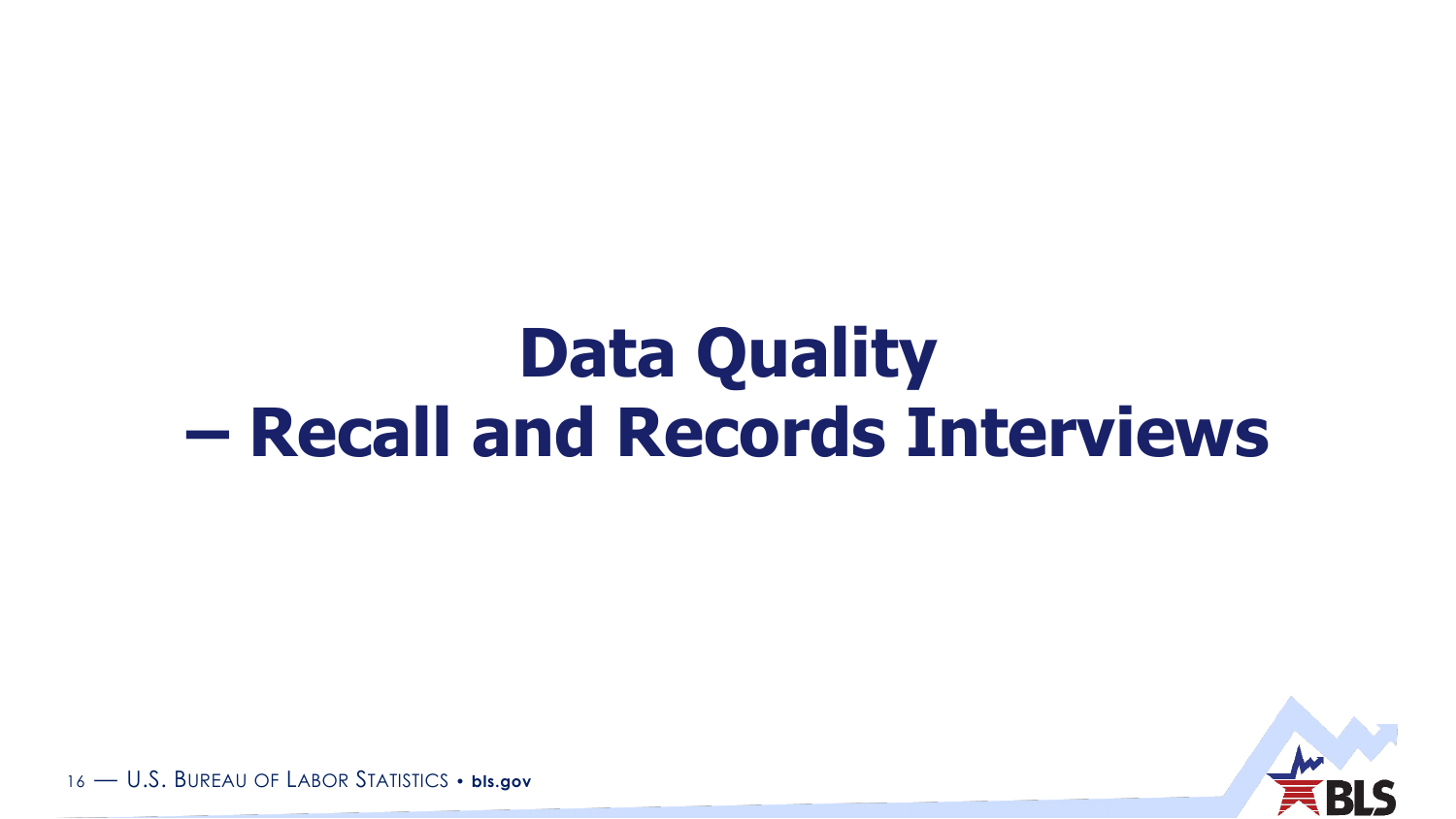# **Data Quality – Recall and Records Interviews**

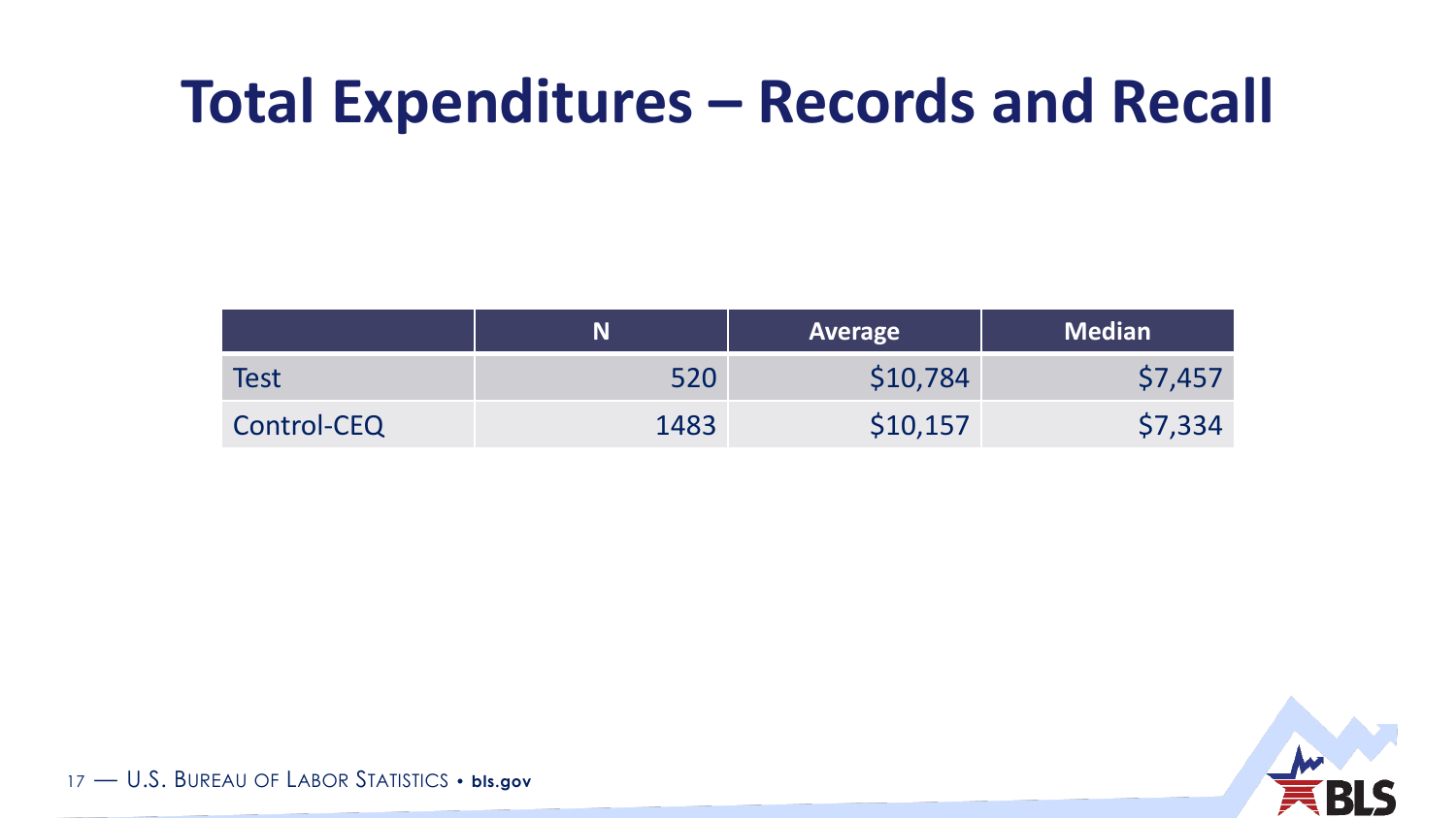### **Total Expenditures – Records and Recall**

|             | N    | Average  | <b>Median</b> |
|-------------|------|----------|---------------|
| <b>Test</b> | 520  | \$10,784 | \$7,457       |
| Control-CEQ | 1483 | \$10,157 | \$7,334       |

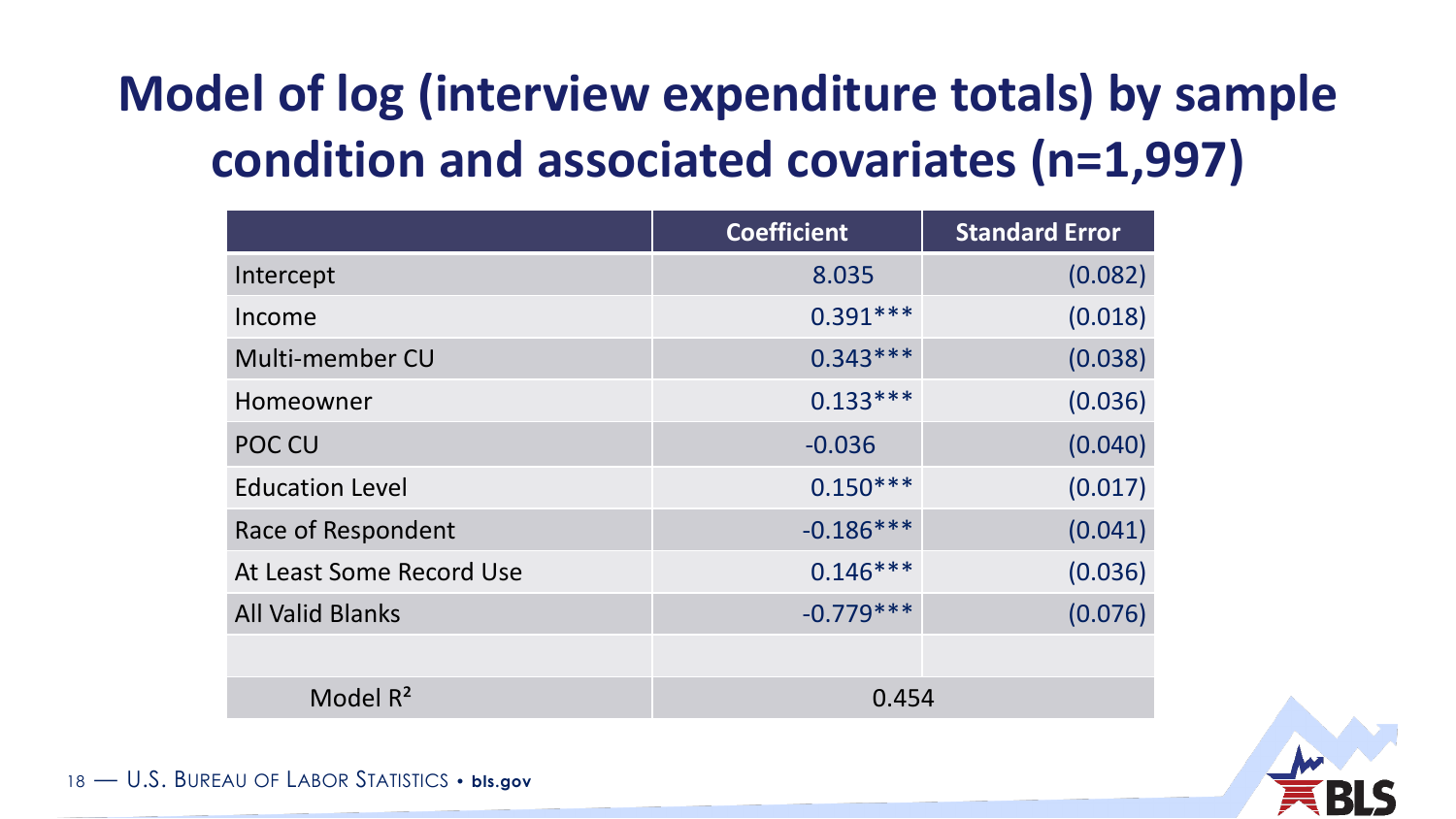### **Model of log (interview expenditure totals) by sample condition and associated covariates (n=1,997)**

|                          | <b>Coefficient</b> | <b>Standard Error</b> |
|--------------------------|--------------------|-----------------------|
| Intercept                | 8.035              | (0.082)               |
| Income                   | $0.391***$         | (0.018)               |
| Multi-member CU          | $0.343***$         | (0.038)               |
| Homeowner                | $0.133***$         | (0.036)               |
| POC CU                   | $-0.036$           | (0.040)               |
| <b>Education Level</b>   | $0.150***$         | (0.017)               |
| Race of Respondent       | $-0.186***$        | (0.041)               |
| At Least Some Record Use | $0.146***$         | (0.036)               |
| <b>All Valid Blanks</b>  | $-0.779***$        | (0.076)               |
|                          |                    |                       |
| Model $R^2$              | 0.454              |                       |

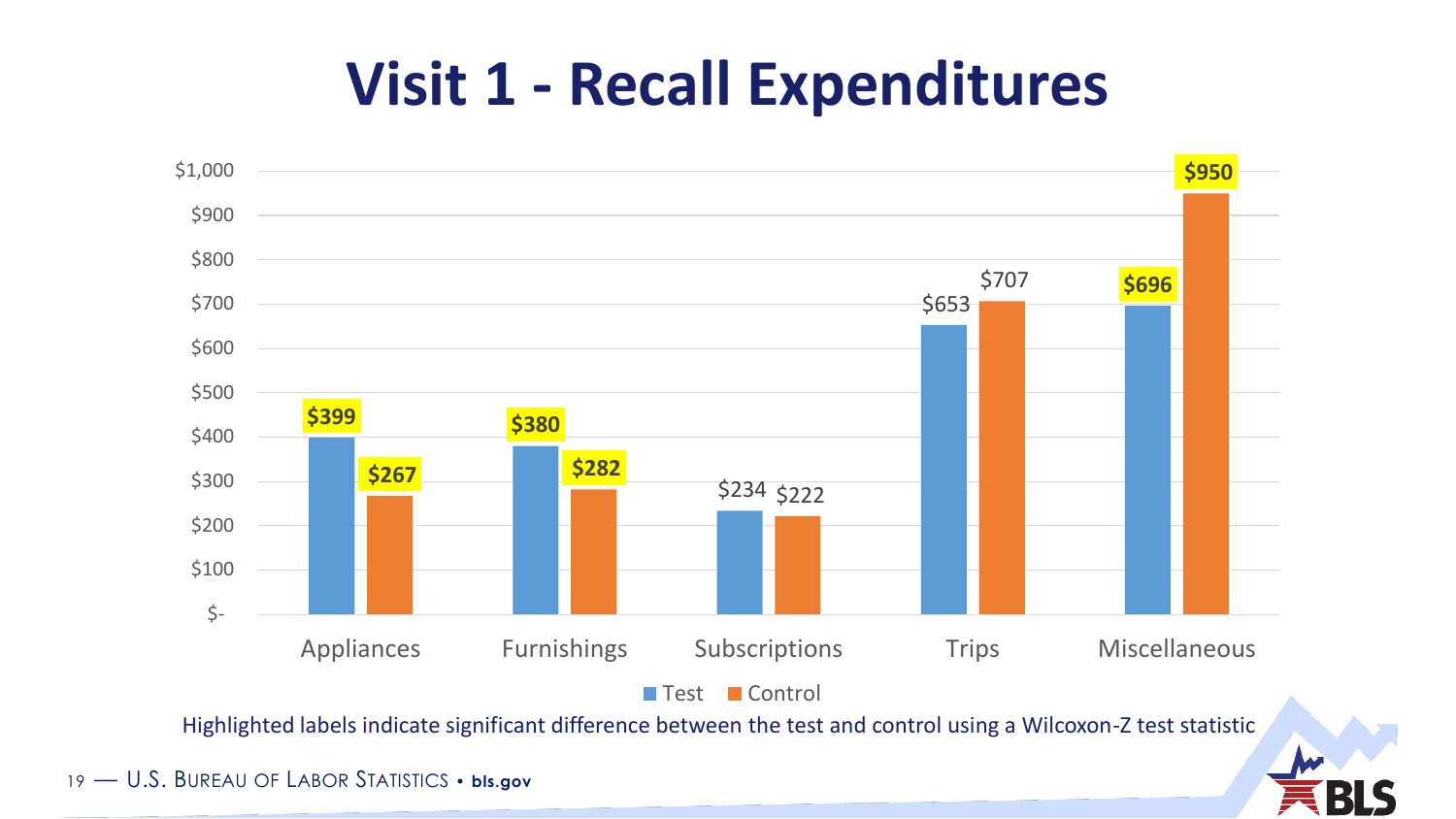### **Visit 1 - Recall Expenditures**



Highlighted labels indicate significant difference between the test and control using a Wilcoxon-Z test statistic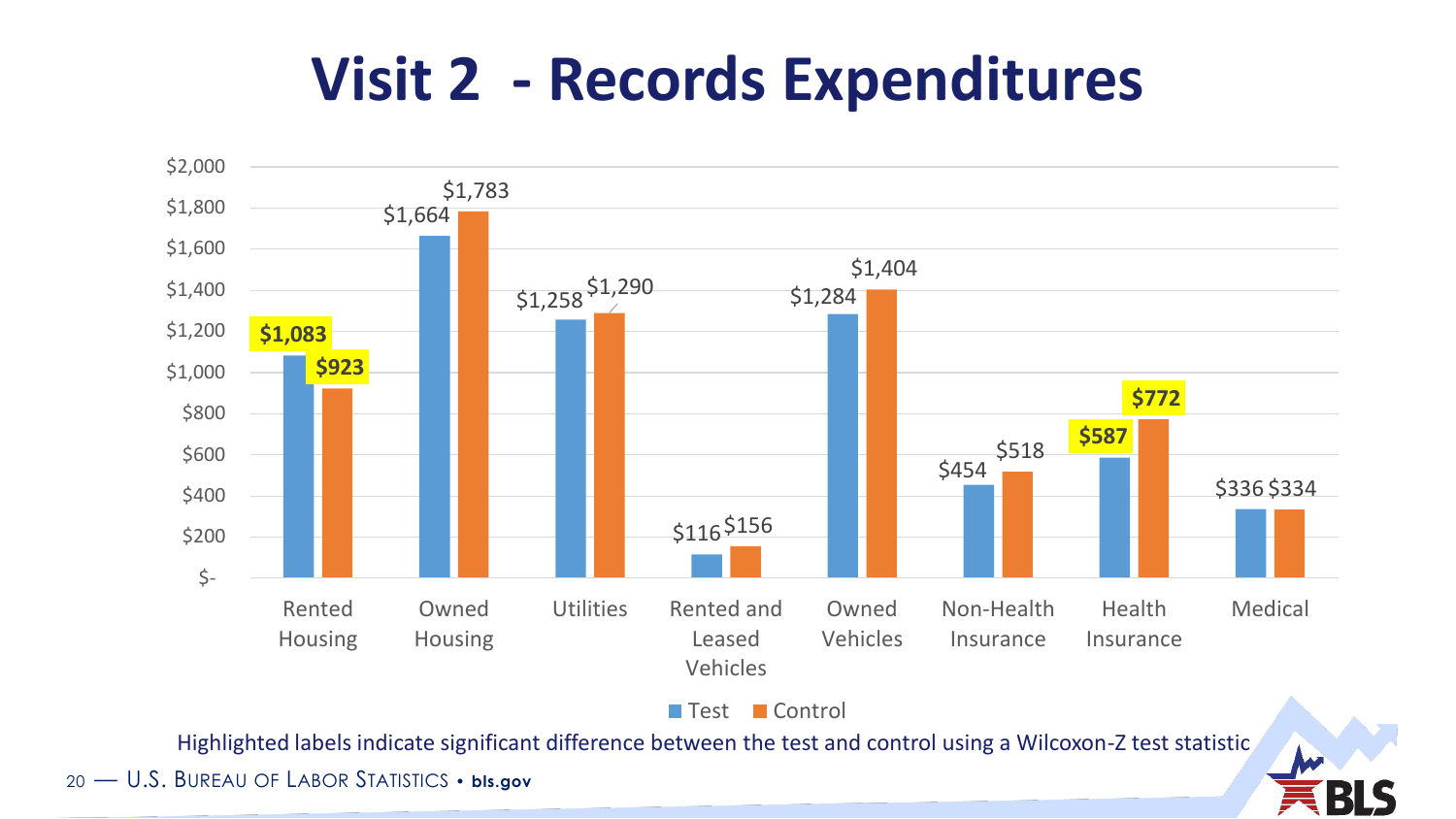### **Visit 2 - Records Expenditures**



Test Control

Highlighted labels indicate significant difference between the test and control using a Wilcoxon-Z test statistic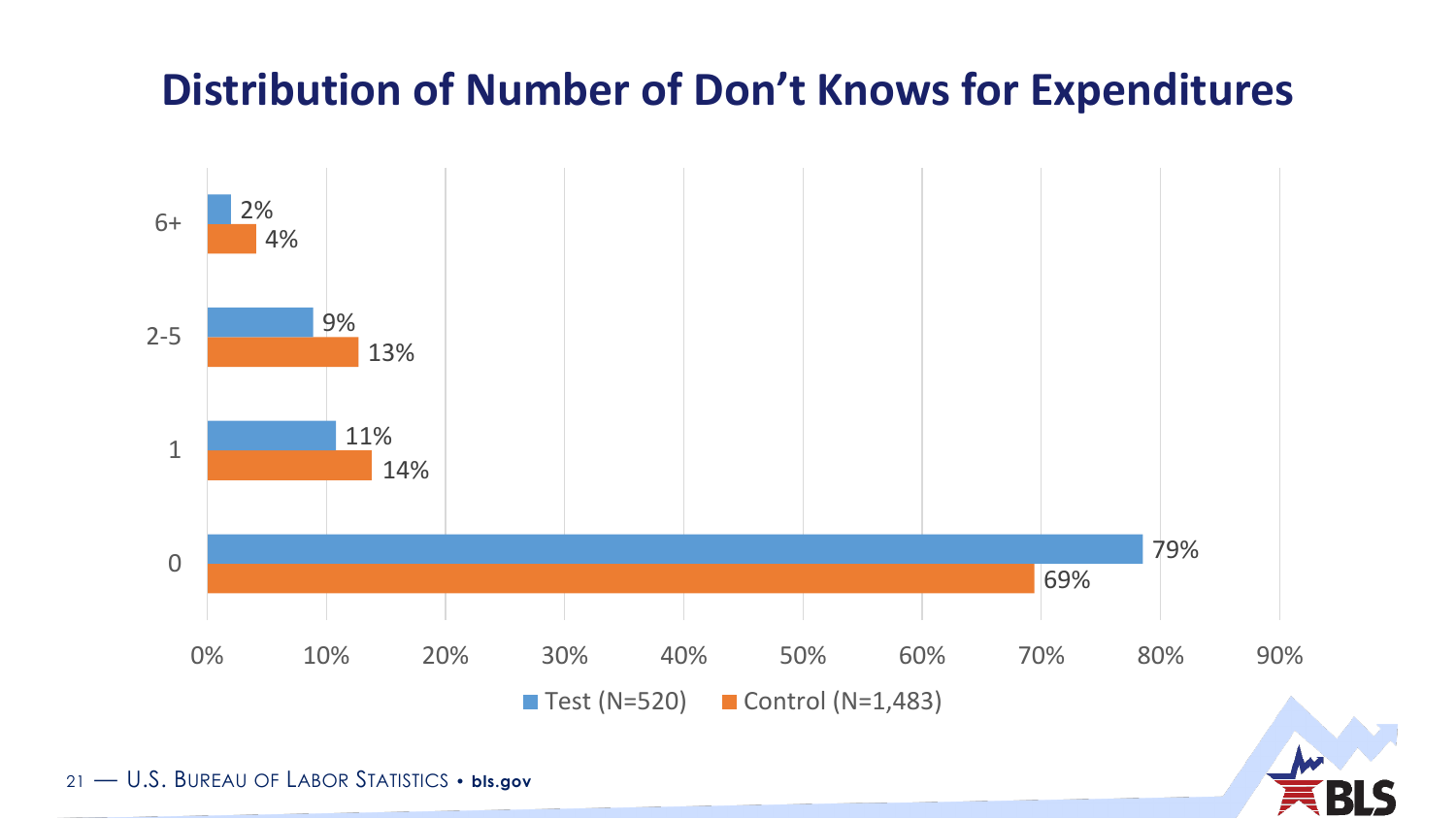#### **Distribution of Number of Don't Knows for Expenditures**



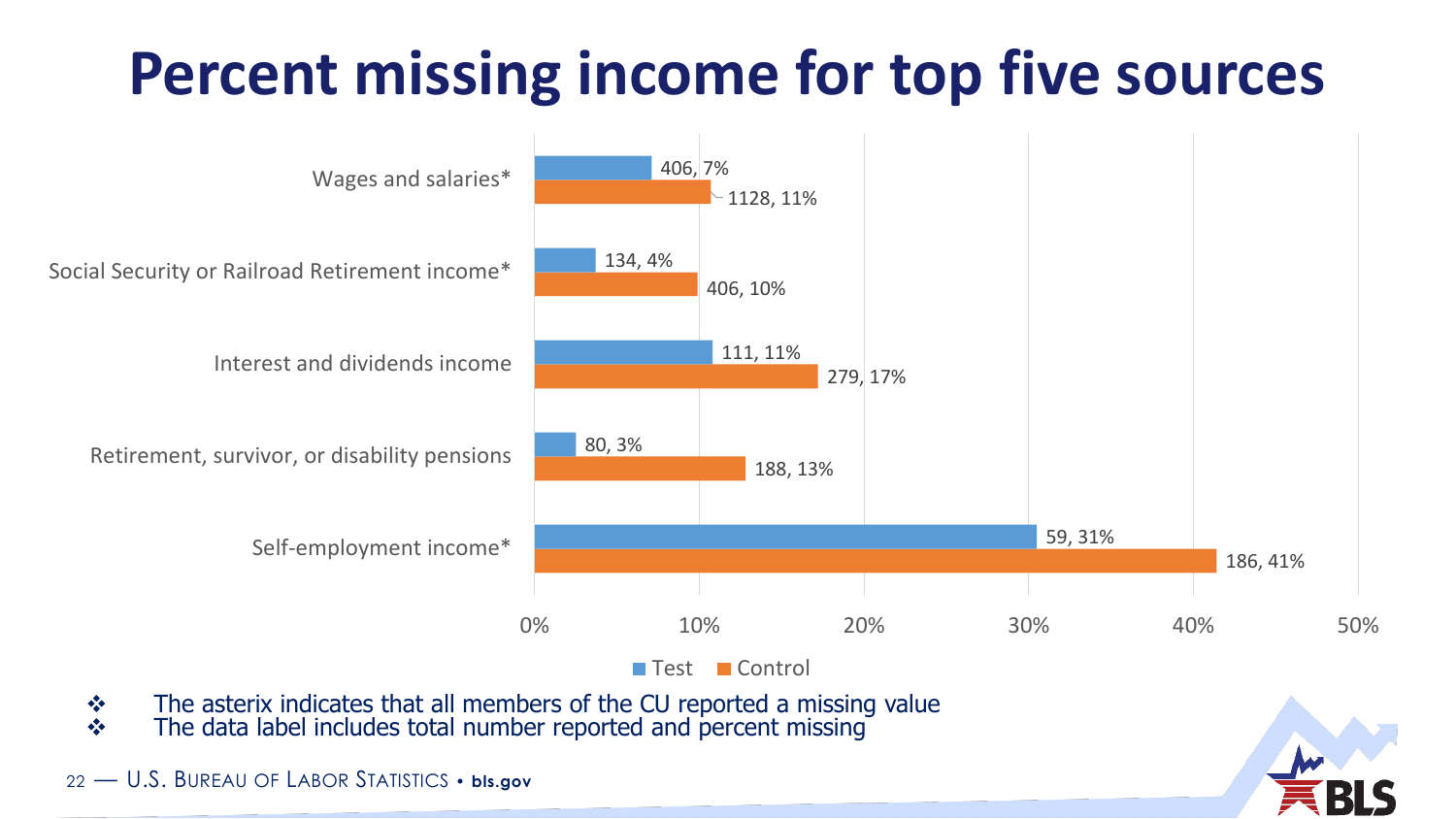## **Percent missing income for top five sources**



 $\cdot \cdot$  The asterix indicates that all members of the CU reported a missing value \* The data label includes total number reported and percent missing

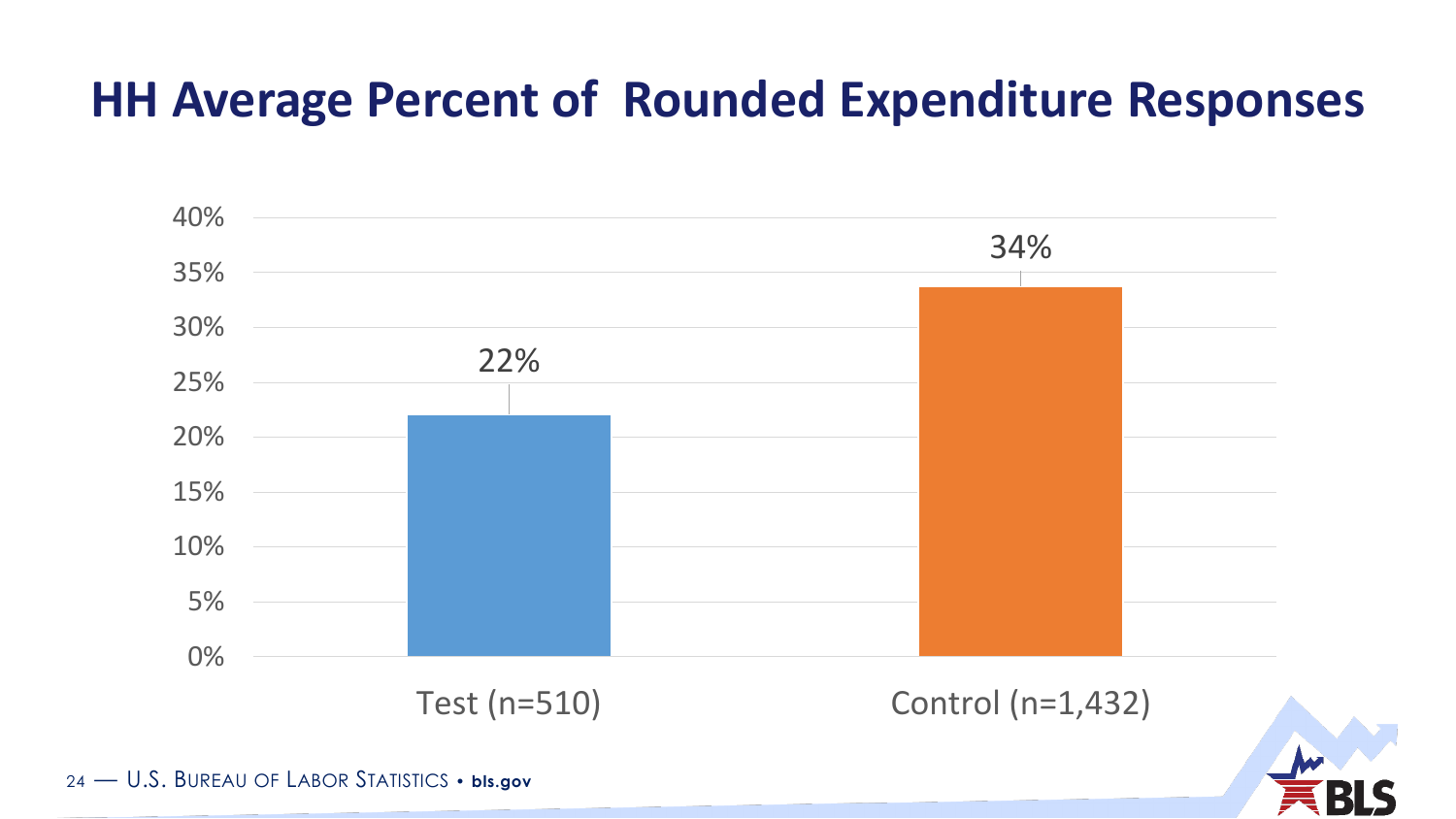#### **HH Average Percent of Rounded Expenditure Responses**



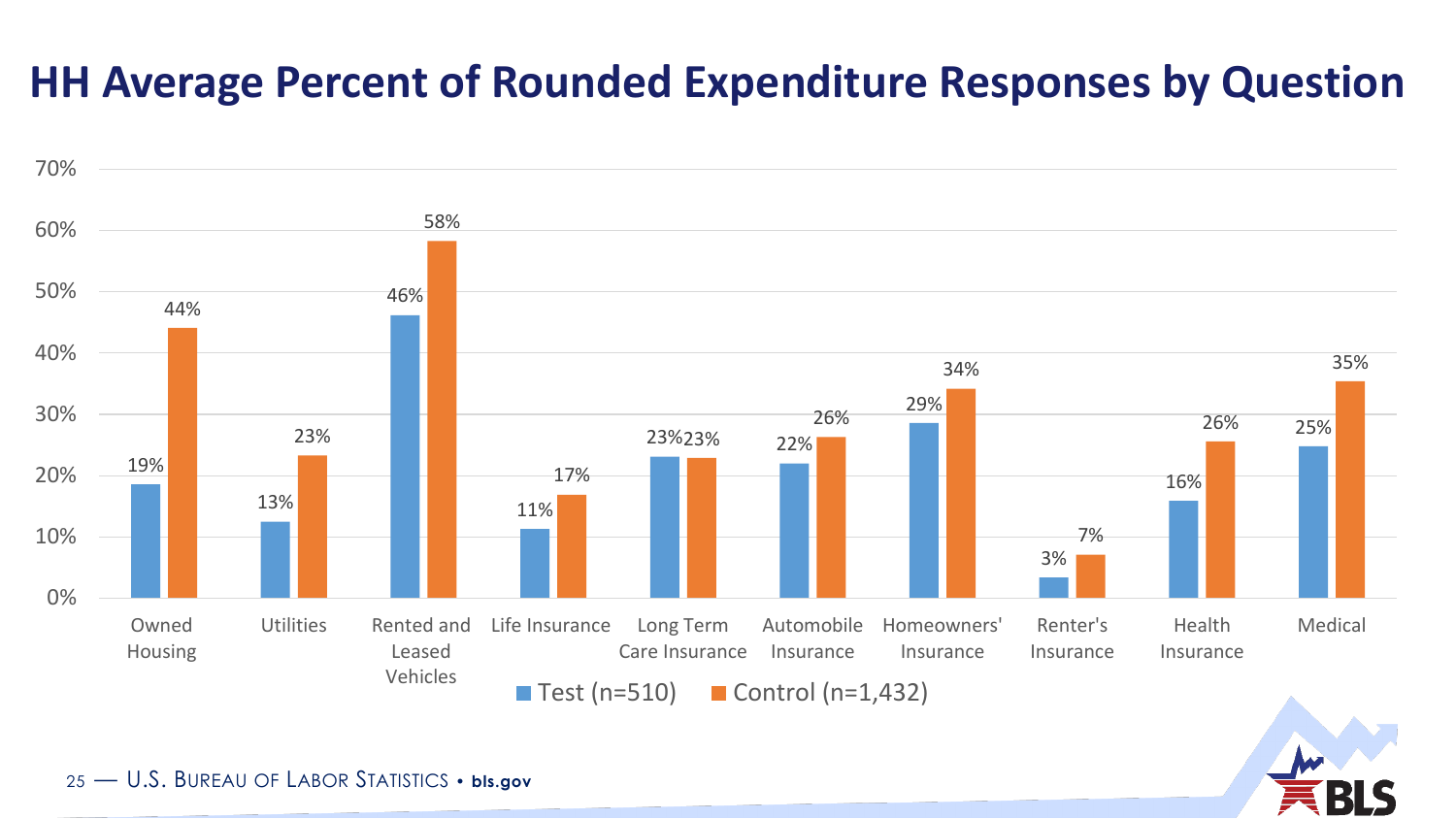#### **HH Average Percent of Rounded Expenditure Responses by Question**



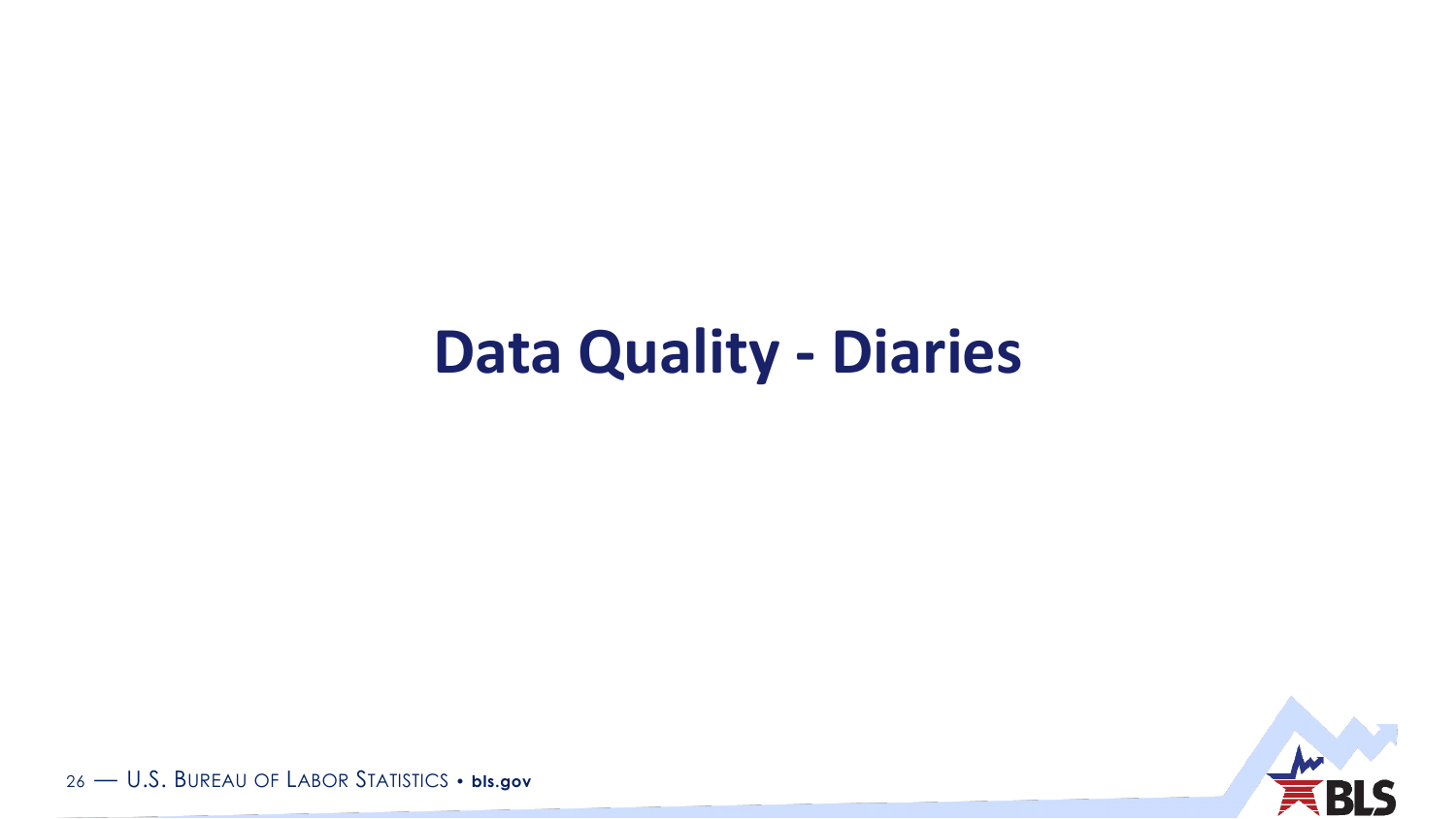### **Data Quality - Diaries**

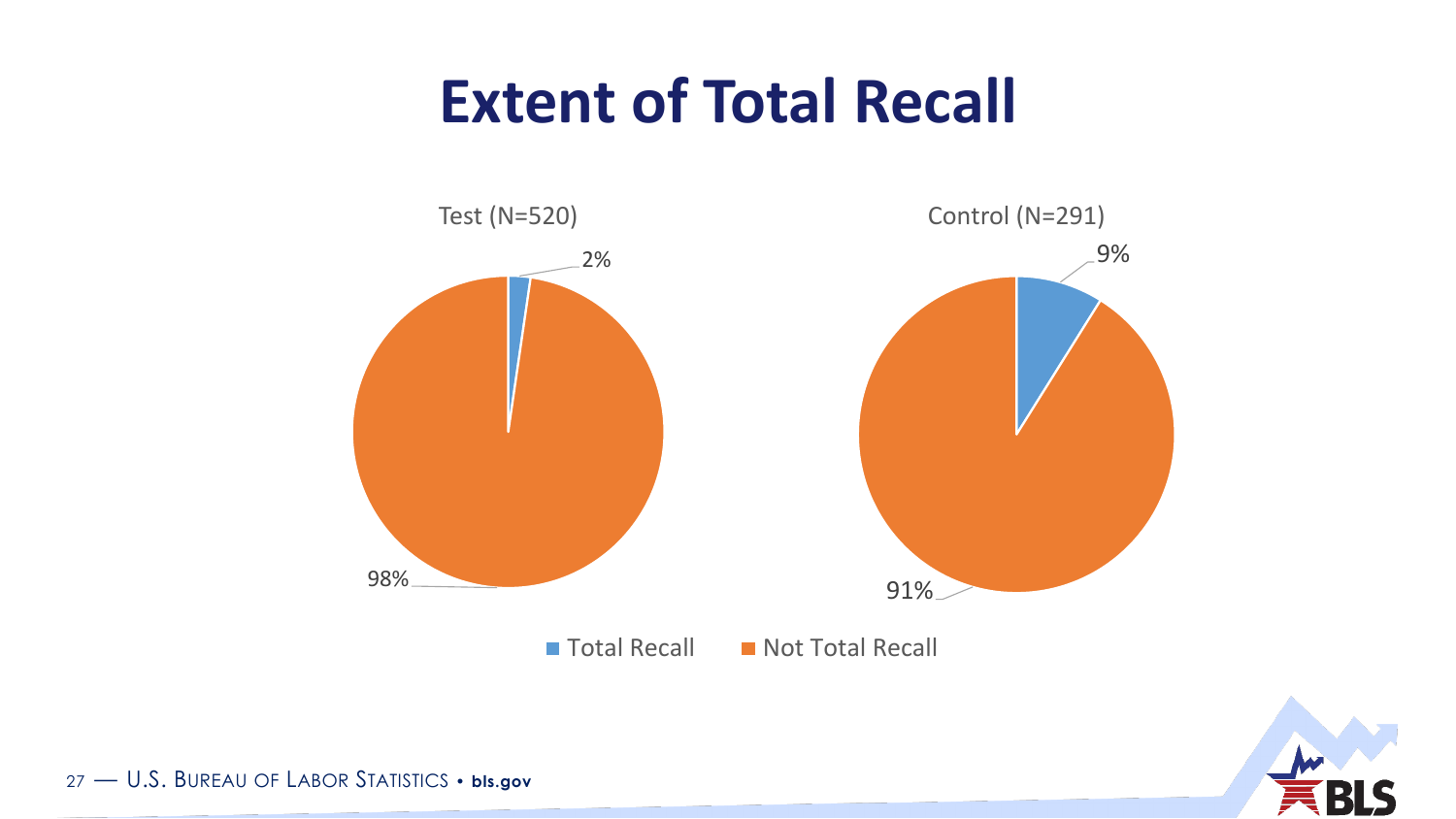### **Extent of Total Recall**



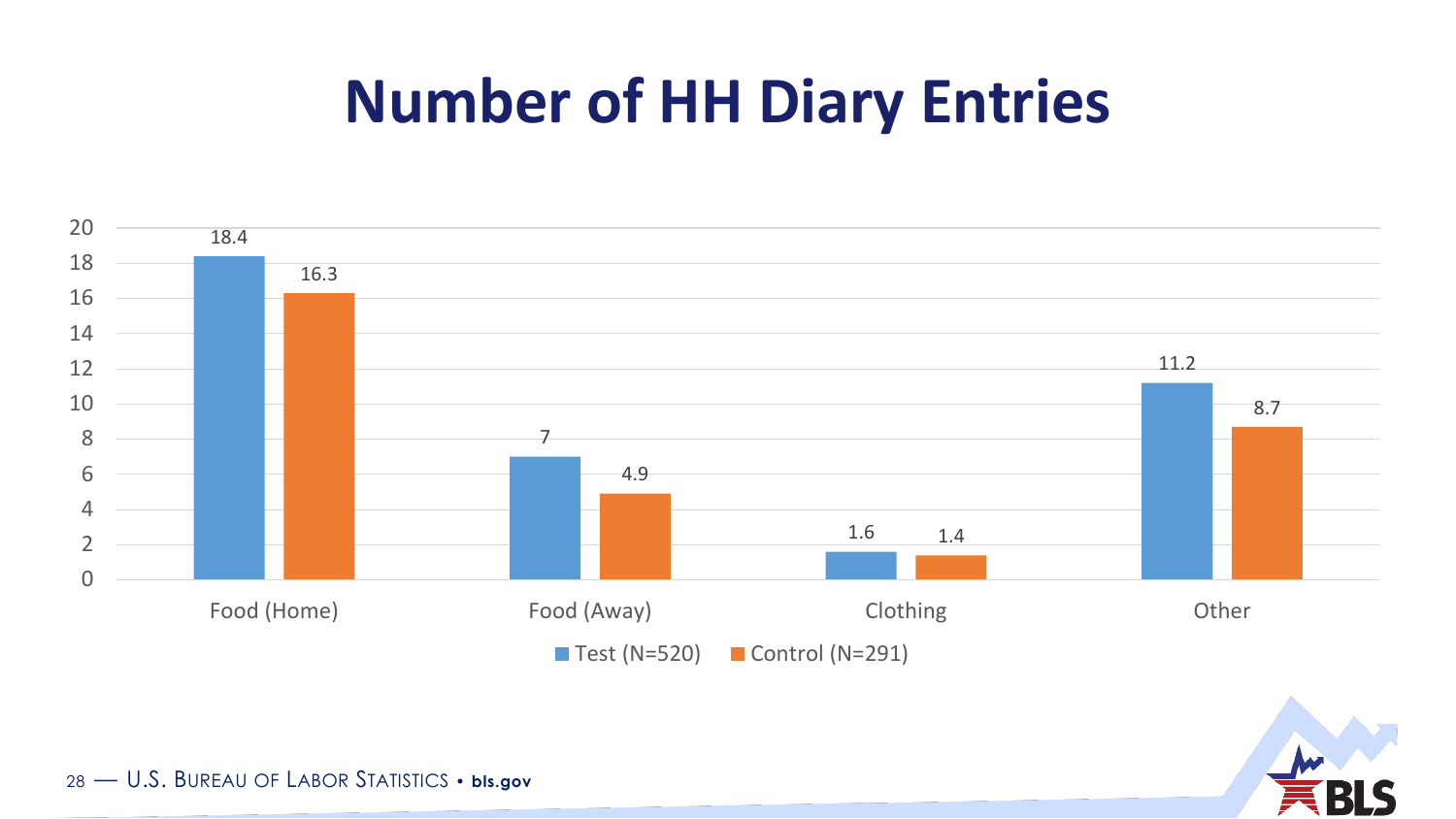### **Number of HH Diary Entries**



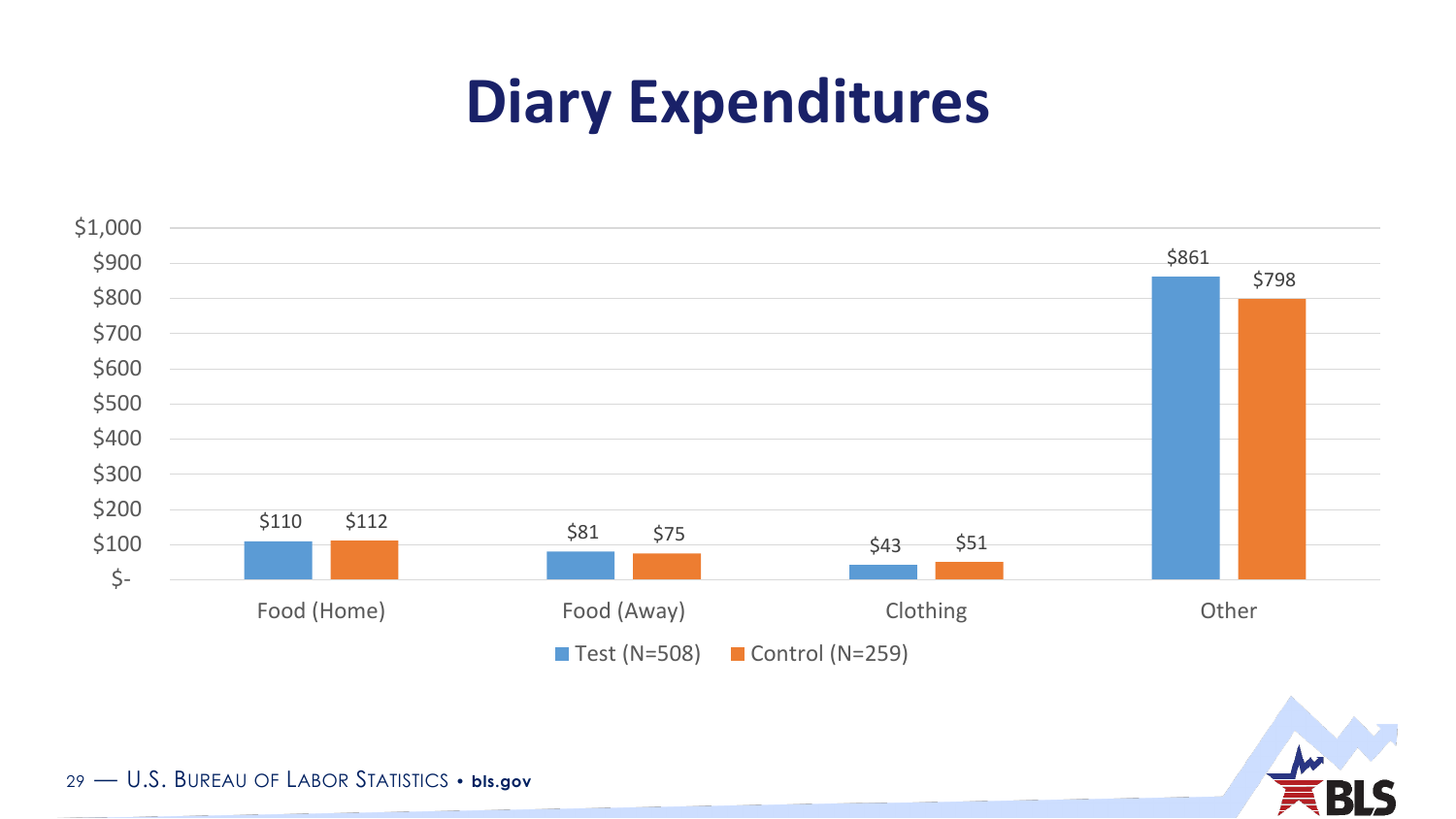### **Diary Expenditures**



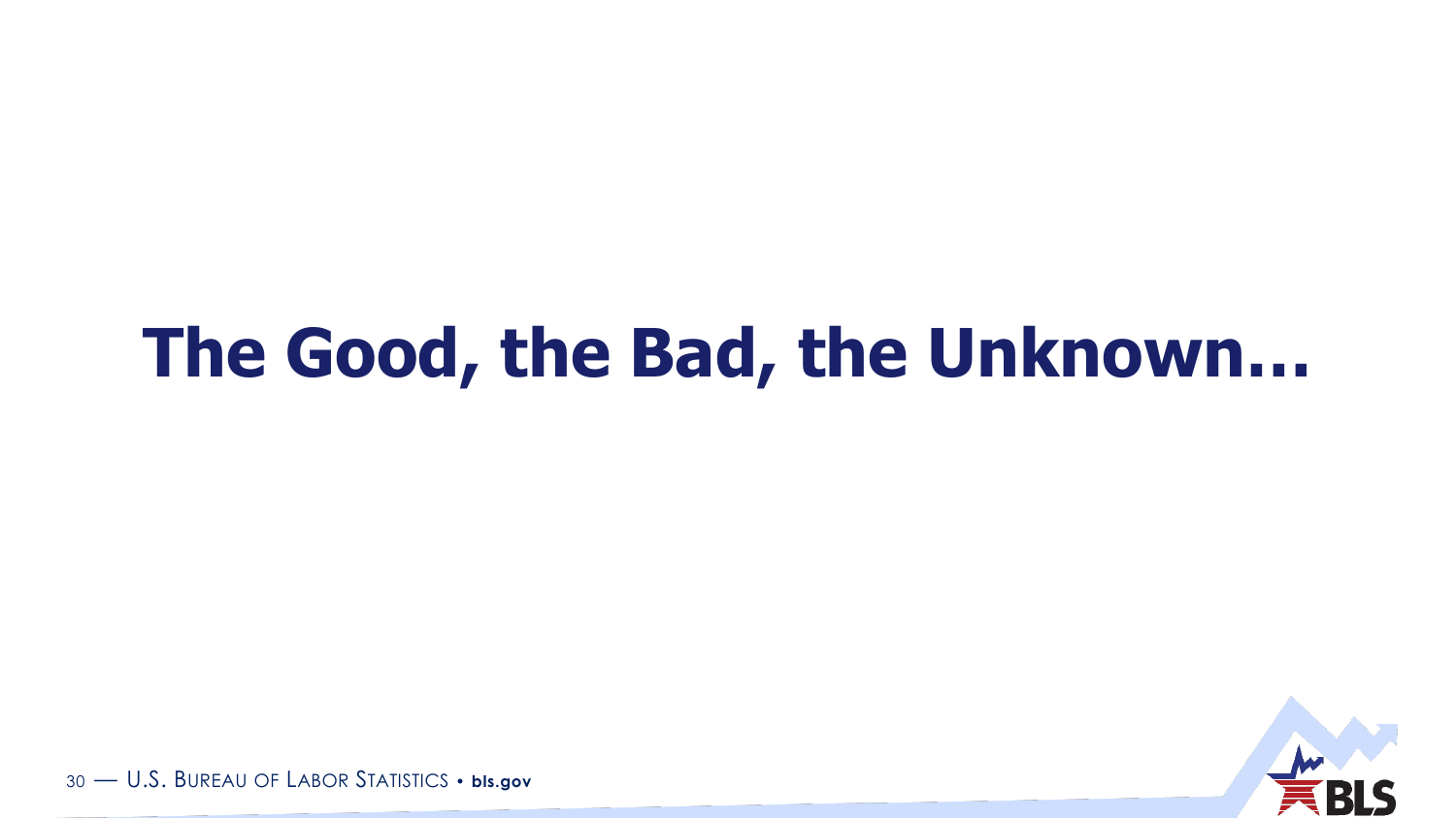## **The Good, the Bad, the Unknown…**

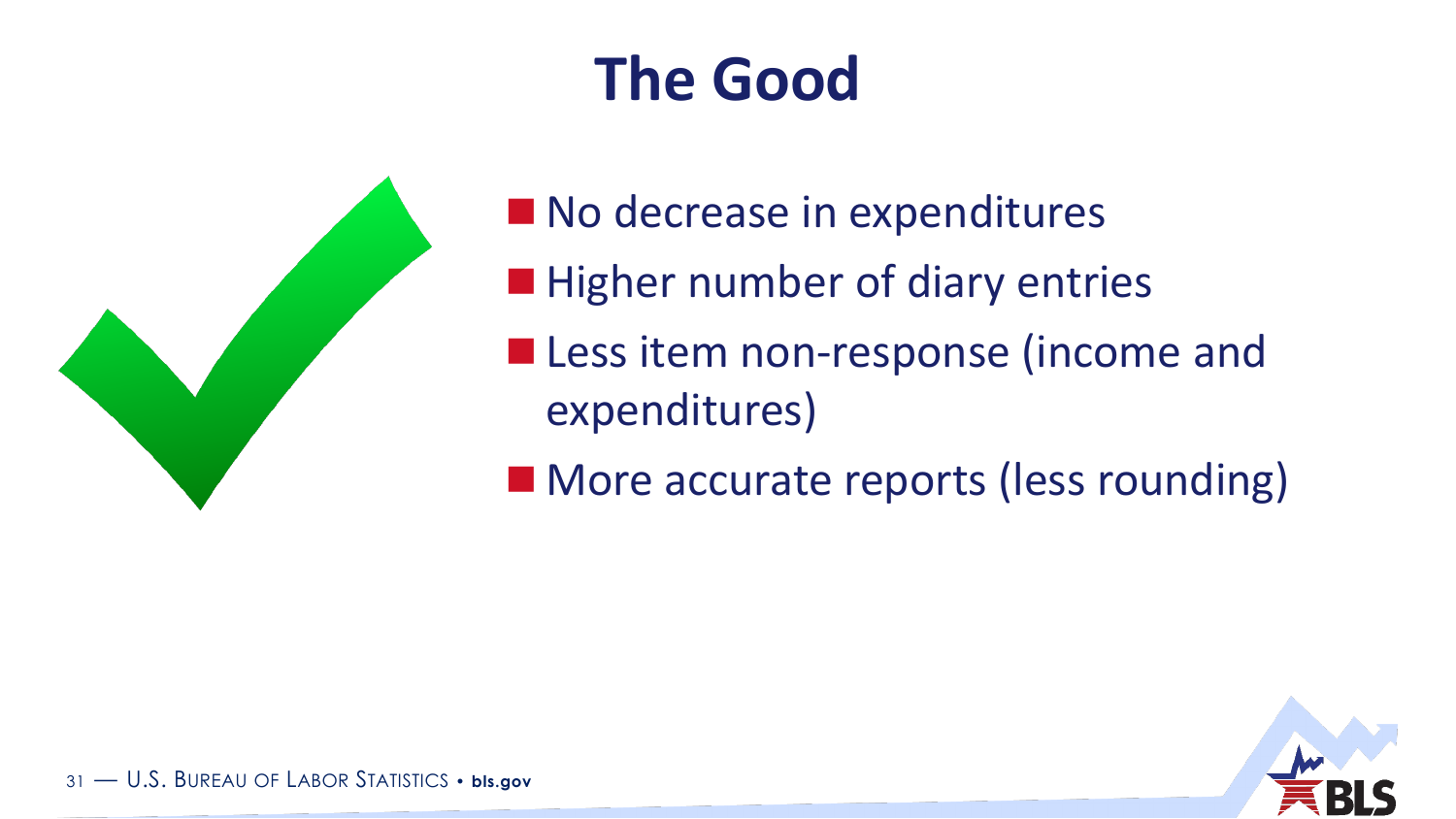## **The Good**



No decrease in expenditures **Higher number of diary entries Less item non-response (income and** expenditures)

■ More accurate reports (less rounding)

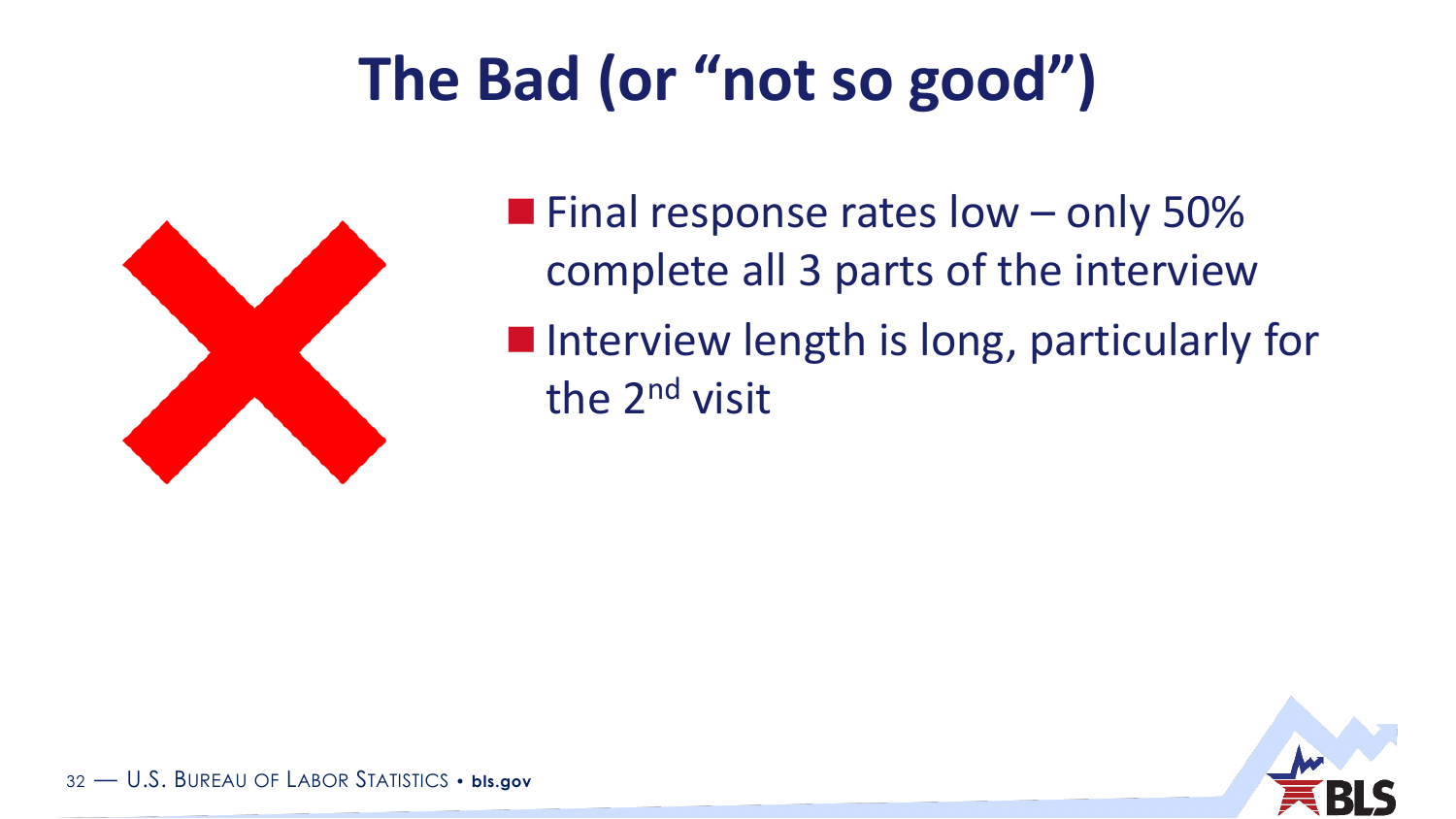## **The Bad (or "not so good")**



 $\blacksquare$  Final response rates low – only 50% complete all 3 parts of the interview **Interview length is long, particularly for** the 2nd visit

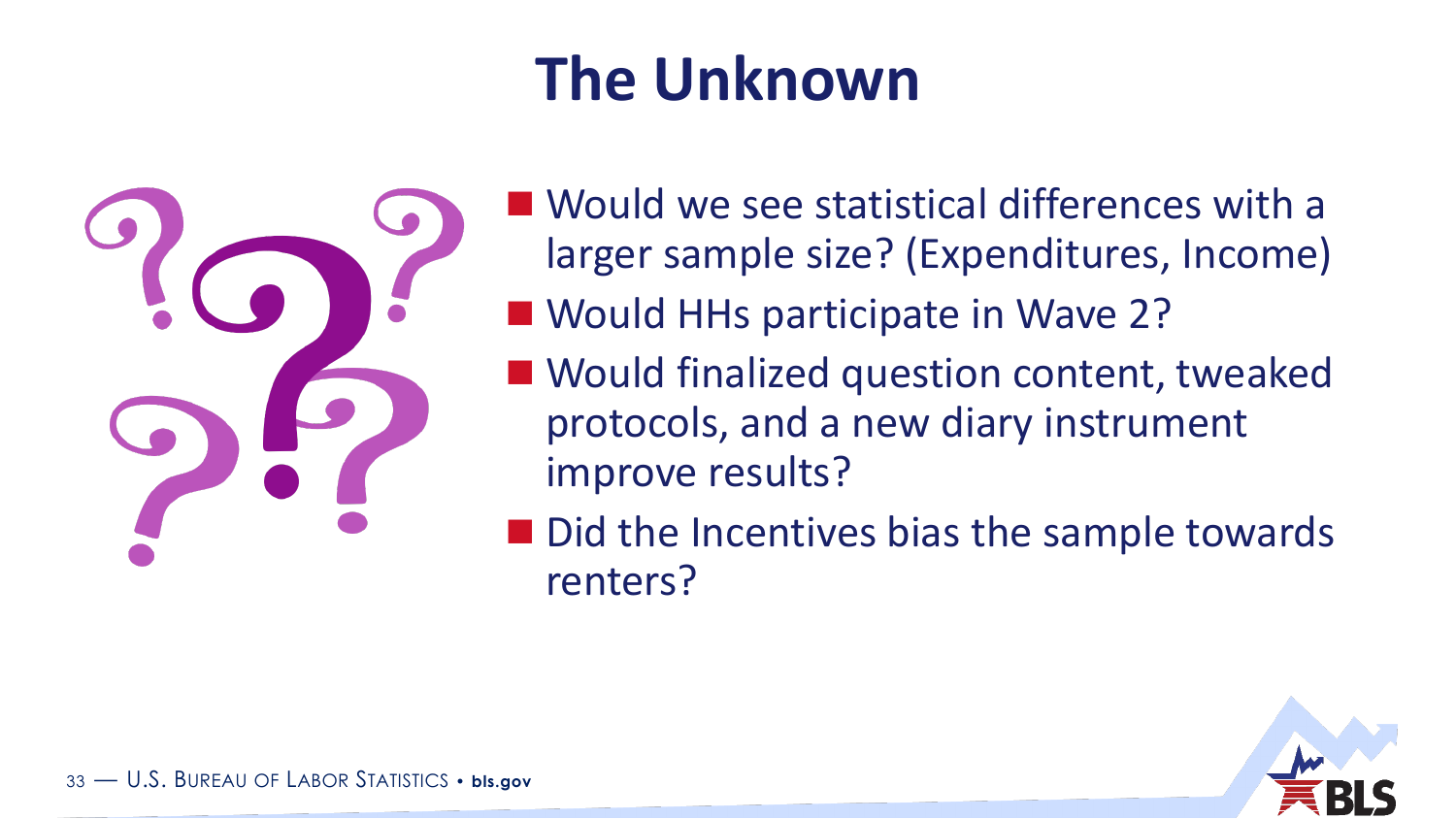# **The Unknown**



- Would we see statistical differences with a larger sample size? (Expenditures, Income)
- **Nould HHs participate in Wave 2?**
- Would finalized question content, tweaked protocols, and a new diary instrument improve results?
- Did the Incentives bias the sample towards renters?

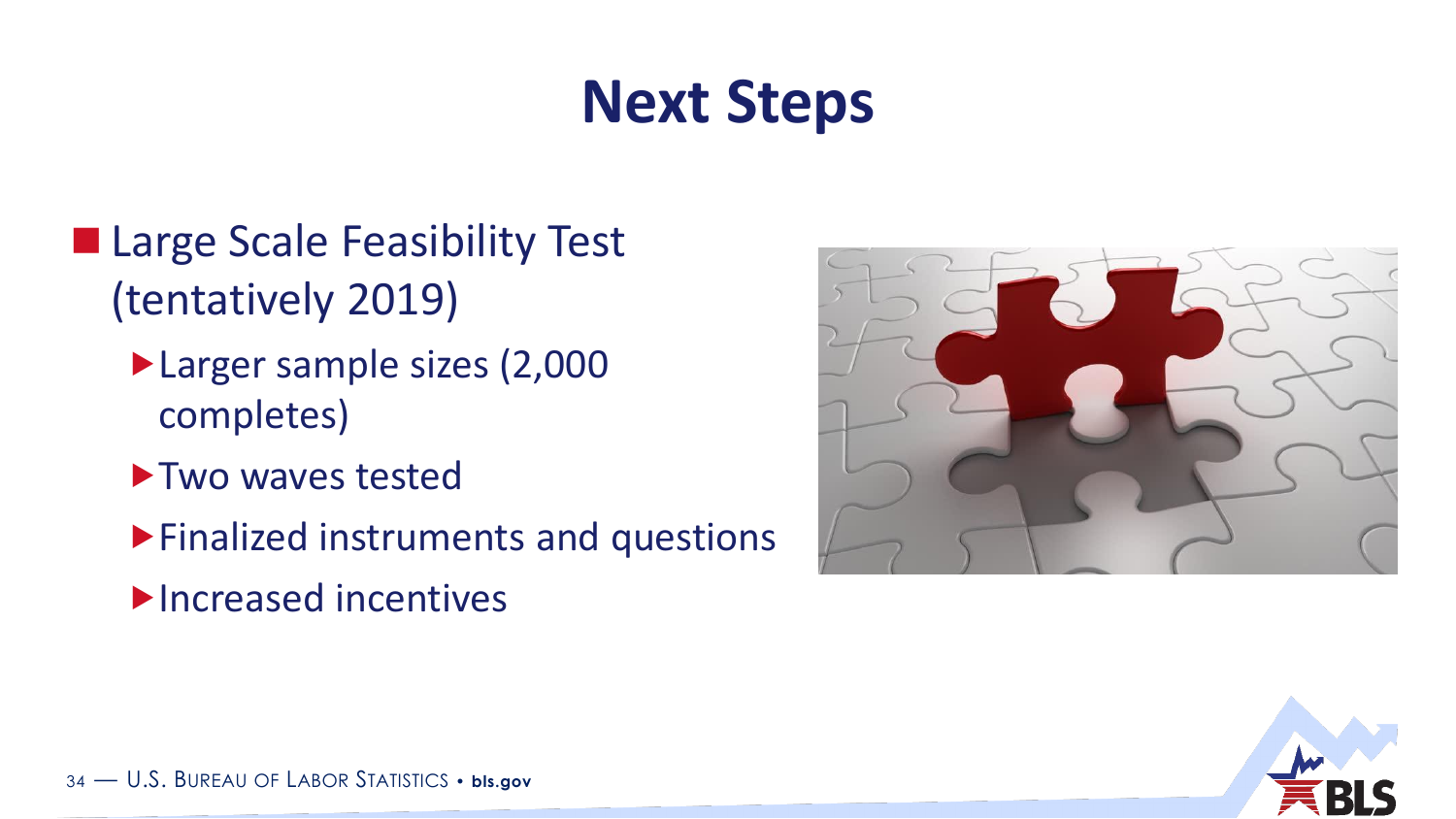### **Next Steps**

- **Large Scale Feasibility Test** (tentatively 2019)
	- Larger sample sizes (2,000 completes)
	- **Two waves tested**
	- Finalized instruments and questions
	- **Increased incentives**